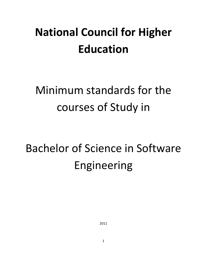# **National Council for Higher Education**

# Minimum standards for the courses of Study in

# Bachelor of Science in Software Engineering

2011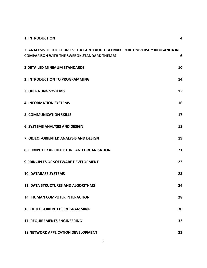| <b>1. INTRODUCTION</b>                                                                                                              | 4  |
|-------------------------------------------------------------------------------------------------------------------------------------|----|
| 2. ANALYSIS OF THE COURSES THAT ARE TAUGHT AT MAKERERE UNIVERSITY IN UGANDA IN<br><b>COMPARISON WITH THE SWEBOK STANDARD THEMES</b> | 6  |
| <b>3. DETAILED MINIMUM STANDARDS</b>                                                                                                | 10 |
| 2. INTRODUCTION TO PROGRAMMING                                                                                                      | 14 |
| <b>3. OPERATING SYSTEMS</b>                                                                                                         | 15 |
| <b>4. INFORMATION SYSTEMS</b>                                                                                                       | 16 |
| <b>5. COMMUNICATION SKILLS</b>                                                                                                      | 17 |
| <b>6. SYSTEMS ANALYSIS AND DESIGN</b>                                                                                               | 18 |
| 7. OBJECT-ORIENTED ANALYSIS AND DESIGN                                                                                              | 19 |
| 8. COMPUTER ARCHITECTURE AND ORGANISATION                                                                                           | 21 |
| <b>9. PRINCIPLES OF SOFTWARE DEVELOPMENT</b>                                                                                        | 22 |
| <b>10. DATABASE SYSTEMS</b>                                                                                                         | 23 |
| <b>11. DATA STRUCTURES AND ALGORITHMS</b>                                                                                           | 24 |
| <b>14. HUMAN COMPUTER INTERACTION</b>                                                                                               | 28 |
| 16. OBJECT-ORIENTED PROGRAMMING                                                                                                     | 30 |
| <b>17. REQUIREMENTS ENGINEERING</b>                                                                                                 | 32 |
| <b>18.NETWORK APPLICATION DEVELOPMENT</b>                                                                                           | 33 |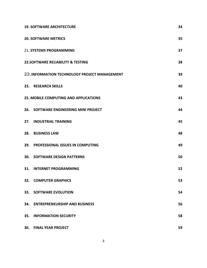|     | <b>19. SOFTWARE ARCHITECTURE</b>              | 34 |
|-----|-----------------------------------------------|----|
|     | <b>20. SOFTWARE METRICS</b>                   | 35 |
|     | <b>21. SYSTEMS PROGRAMMING</b>                | 37 |
|     | <b>22.SOFTWARE RELIABILITY &amp; TESTING</b>  | 38 |
|     | 23. INFORMATION TECHNOLOGY PROJECT MANAGEMENT | 39 |
|     | 25. RESEARCH SKILLS                           | 40 |
|     | <b>25. MOBILE COMPUTING AND APPLICATIONS</b>  | 43 |
|     | 26. SOFTWARE ENGINEERING MINI PROJECT         | 44 |
| 27. | <b>INDUSTRIAL TRAINING</b>                    | 45 |
| 28. | <b>BUSINESS LAW</b>                           | 48 |
| 29. | <b>PROFESSIONAL ISSUES IN COMPUTING</b>       | 49 |
| 30. | <b>SOFTWARE DESIGN PATTERNS</b>               | 50 |
| 31. | <b>INTERNET PROGRAMMING</b>                   | 52 |
|     | <b>32. COMPUTER GRAPHICS</b>                  | 53 |
|     | <b>33. SOFTWARE EVOLUTION</b>                 | 54 |
|     | 34. ENTREPRENEURSHIP AND BUSINESS             | 56 |
| 35. | <b>INFORMATION SECURITY</b>                   | 58 |
| 36. | <b>FINAL YEAR PROJECT</b>                     | 59 |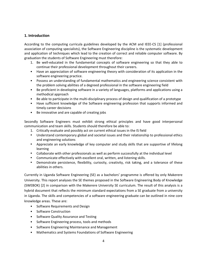# **1.** Introduction

According to the computing curricula guidelines developed by the ACM and IEEE-CS [1] (professional association of computing specialists), the Software Engineering discipline is the systematic development and application of techniques which lead to the creation of correct and reliable computer software. By graduation the students of Software Engineering must therefore:

- 1. Be well-educated in the fundamental concepts of software engineering so that they able to continue their professional development throughout their careers.
- Have an appreciation of software engineering theory with consideration of its application in the software engineering practice.
- Possess an understanding of fundamental mathematics and engineering science consistent with the problem solving abilities of a degreed professional in the software engineering field
- Be proficient in developing software in a variety of languages, platforms and applications using a methodical"approach
- Be able to participate in the multi-disciplinary process of design and qualification of a prototype
- Have sufficient knowledge of the Software engineering profession that supports informed and timely career decisions
- $\bullet$  Be innovative and are capable of creating jobs

Secondly Software Engineers must exhibit strong ethical principles and have good interpersonal communication and team skills. Students should therefore be able to:

- 1. Critically evaluate and possibly act on current ethical issues in the IS field
- Understand contemporary global and societal issues and their relationship to professional ethics and engineering solutions
- Appreciate an early knowledge of key computer and study skills that are supportive of lifelong learning
- Collaborate with other professionals as well as perform successfully at the individual level
- Communicate effectively with excellent oral, written, and listening skills.
- Demonstrate persistence, flexibility, curiosity, creativity, risk taking, and a tolerance of these abilities in others.

Currently in Uganda Software Engineering (SE) as a bachelors' programme is offered by only Makerere University. This report analyses the SE themes proposed in the Software Engineering Body of Knowledge (SWEBOK) [2] in comparison with the Makerere University SE curriculum. The result of this analysis is a hybrid document that reflects the minimum standard expectations from a SE graduate from a university in Uganda. The skills and competencies of a software engineering graduate can be outlined in nine core knowledge areas. These are:

- Software Requirements and Design
- Software Construction
- Software Quality Assurance and Testing
- Software Engineering process, tools and methods
- Software Engineering Maintenance and Management
- Mathematics and Systems Foundations of Software Engineering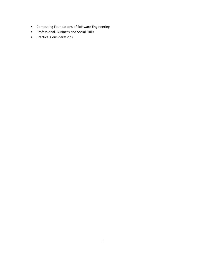- Computing Foundations of Software Engineering
- Professional, Business and Social Skills
- Practical Considerations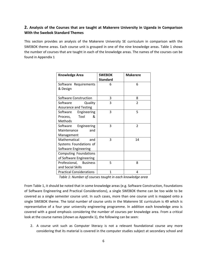# 2. Analysis of the Courses that are taught at Makerere University in Uganda in Comparison **With the Swebok Standard Themes**

This section provides an analysis of the Makerere University SE curriculum in comparison with the SWEBOK theme areas. Each course unit is grouped in one of the nine knowledge areas. Table 1 shows the number of courses that are taught in each of the knowledge areas. The names of the courses can be found in Appendix 1

| <b>Knowledge Area</b>           | <b>SWEBOK</b>   | <b>Makerere</b> |
|---------------------------------|-----------------|-----------------|
|                                 | <b>Standard</b> |                 |
| Software Requirements           | 6               | 6               |
| & Design                        |                 |                 |
|                                 |                 |                 |
| <b>Software Construction</b>    | 3               | 8               |
| Software<br>Quality             | 3               | 2               |
| <b>Assurance and Testing</b>    |                 |                 |
| Software Engineering            | 3               | 5               |
| Process, Tool<br>&              |                 |                 |
| Methods                         |                 |                 |
| Software Engineering            | 3               | $\overline{2}$  |
| and<br>Maintenance              |                 |                 |
| Management                      |                 |                 |
| Mathematical<br>and             | 3               | 14              |
| Systems Foundations of          |                 |                 |
| Software Engineering            |                 |                 |
| Computing Foundations           |                 |                 |
| of Software Engineering         |                 |                 |
| Professional, Business          | 5               | 8               |
| and Social Skills               |                 |                 |
| <b>Practical Considerations</b> | 1               | 4               |

Table 1: Number of courses taught in each knowledge area

From Table 1, it should be noted that in some knowledge areas (e.g. Software Construction, Foundations of Software Engineering and Practical Considerations), a single SWEBOK theme can be too wide to be covered as a single semester course unit. In such cases, more than one course unit is mapped onto a single SWEBOK theme. The total number of course units in the Makerere SE curriculum is 49 which is representative of a four year university engineering programme. In addition each knowledge area is covered with a good emphasis considering the number of courses per knowledge area. From a critical look at the course names (shown as Appendix 1), the following can be seen:

2. A course unit such as Computer literacy is not a relevant foundational course any more considering that its material is covered in the computer studies subject at secondary school and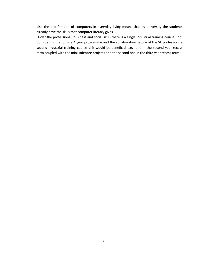also the proliferation of computers in everyday living means that by university the students already have the skills that computer literacy gives.

3. Under the professional, business and social skills there is a single industrial training course unit. Considering that SE is a 4 year programme and the collaborative nature of the SE profession, a second industrial training course unit would be beneficial e.g. one in the second year recess term coupled with the mini software projects and the second one in the third year recess term.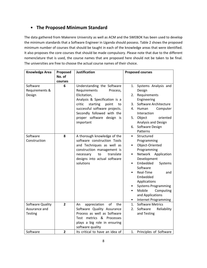# **• The Proposed Minimum Standard**

The data gathered from Makerere University as well as ACM and the SWEBOK has been used to develop the minimum standards that a Software Engineer in Uganda should possess. Table 2 shows the proposed minimum number of courses that should be taught in each of the knowledge areas that were identified. It also proposes the core courses that should be made compulsory. Please note that due to the different nomenclature that is used, the course names that are proposed here should not be taken to be final. The universities are free to choose the actual course names of their choice.

| <b>Knowledge Area</b>                               | Proposed                | <b>Justification</b>                                                                                                                                                                                                                                  | <b>Proposed courses</b>                                                                                                                                                                                                                                                                                                                                                      |
|-----------------------------------------------------|-------------------------|-------------------------------------------------------------------------------------------------------------------------------------------------------------------------------------------------------------------------------------------------------|------------------------------------------------------------------------------------------------------------------------------------------------------------------------------------------------------------------------------------------------------------------------------------------------------------------------------------------------------------------------------|
|                                                     | No. of                  |                                                                                                                                                                                                                                                       |                                                                                                                                                                                                                                                                                                                                                                              |
| Software<br>Requirements &<br>Design                | courses<br>6            | Understanding the Software<br>Requirements<br>Process,<br>Elicitation,<br>Analysis & Specification is a<br>critic<br>starting<br>point<br>to<br>successful software projects.<br>Secondly followed with the<br>proper software design is<br>important | Systems Analysis and<br>1.<br>Design<br>Requirements<br>2.<br>Engineering<br>Software Architecture<br>3.<br>Human<br>Computer<br>4.<br>Interaction<br>oriented<br>Object<br>5.<br>Analysis and Design<br>Software Design<br>6.                                                                                                                                               |
| Software<br>Construction                            | 8                       | A thorough knowledge of the<br>software construction Tools<br>and Techniques as well as<br>construction management is<br>translate<br>necessary<br>to<br>designs into actual software<br>solutions                                                    | Patterns<br>Structured<br>$\bullet$<br>Programming<br>Object-Oriented<br>$\bullet$<br>Programming<br>Network<br>Application<br>$\bullet$<br>Development<br>Embedded<br>Systems<br>$\bullet$<br>Software<br>Real-Time<br>and<br>Embedded<br>Applications<br><b>Systems Programming</b><br>Mobile<br>Computing<br>and Applications<br><b>Internet Programming</b><br>$\bullet$ |
| Software Quality<br>Assurance and<br><b>Testing</b> | $\overline{\mathbf{2}}$ | appreciation<br>of<br>the<br>An<br>Software Quality Assurance<br>Process as well as Software<br>Test metrics & Processes<br>plays a big role in ensuring<br>software quality                                                                          | <b>Software Metrics</b><br>1.<br>2.<br>Software<br>Reliability<br>and Testing                                                                                                                                                                                                                                                                                                |
| Software                                            | 2                       | Its critical to have an idea of                                                                                                                                                                                                                       | Principles of Software<br>1.                                                                                                                                                                                                                                                                                                                                                 |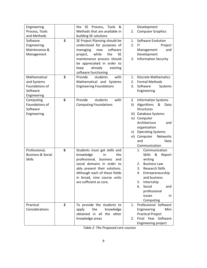| Engineering                  |   | the SE Process, Tools &               |          | Development                  |
|------------------------------|---|---------------------------------------|----------|------------------------------|
| Process, Tools               |   | Methods that are available in         | 2.       | <b>Computer Graphics</b>     |
| and Methods                  |   | building SE solutions                 |          |                              |
| Software                     | 3 | SE Project Planning should be         | 1.       | Software Evolution           |
| Engineering                  |   | understood for purposes of            | 2.<br>IT | Project                      |
| Maintenance &                |   | software<br>managing<br>new           |          | Management<br>and            |
| Management                   |   | project,<br>while<br>the<br><b>SE</b> |          | Development                  |
|                              |   | maintenance process should            | 3.       | <b>Information Security</b>  |
|                              |   | be appreciated in order to            |          |                              |
|                              |   | already<br>keep<br>existing           |          |                              |
|                              |   | software functioning                  |          |                              |
| Mathematical                 | 3 | Provide<br>students<br>with           | 1.       | <b>Discrete Mathematics</b>  |
| and Systems                  |   | Mathematical and Systems              | 2.       | <b>Formal Methods</b>        |
| Foundations of<br>Software   |   | <b>Engineering Foundations</b>        | 3.       | Software<br>Systems          |
| Engineering                  |   |                                       |          | Engineering                  |
| Computing                    | 6 | Provide<br>students<br>with           | i)       | <b>Information Systems</b>   |
| Foundations of               |   | <b>Computing Foundations</b>          | ii)      | Algorithms<br>&<br>Data      |
| Software                     |   |                                       |          | <b>Structures</b>            |
| Engineering                  |   |                                       | iii)     | Database Systems             |
|                              |   |                                       |          | iv) Computer                 |
|                              |   |                                       |          | Architecture<br>and          |
|                              |   |                                       |          | organisation                 |
|                              |   |                                       | v)       | <b>Operating Systems</b>     |
|                              |   |                                       |          | vi) Computer<br>Networks     |
|                              |   |                                       | and      | Data                         |
|                              |   |                                       |          | Communication                |
| Professional,                | 6 | Students must get skills and          | 1.       | Communication                |
| <b>Business &amp; Social</b> |   | knowledge<br>in<br>the                |          | &<br><b>Skills</b><br>Report |
| <b>Skills</b>                |   | professional,<br>business<br>and      |          | writing                      |
|                              |   | social domains in order to            | 2.       | <b>Business Law</b>          |
|                              |   | ably present their solutions.         | 3.       | <b>Research Skills</b>       |
|                              |   | Although each of these fields         | 4.       | Entrepreneurship             |
|                              |   | in broad, nine course units           |          | and business                 |
|                              |   | are sufficient as core.               | 5.       | Internship                   |
|                              |   |                                       | 6.       | Social<br>and                |
|                              |   |                                       |          | professional                 |
|                              |   |                                       |          | issues<br>in.<br>Computing   |
| Practical                    | 2 | To provide the students to            | 1.       | Professional Software        |
| Considerations               |   | the<br>knowledge<br>apply             |          | Engineering<br>Mini          |
|                              |   | obtained in all the other             |          | <b>Practical Project</b>     |
|                              |   | knowledge areas                       | 2.       | Final Year Software          |
|                              |   |                                       |          | Engineering project          |

Table 2: The Proposed core courses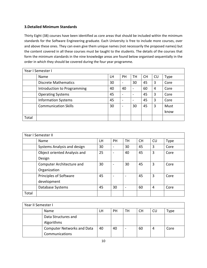# **3.Detailed Minimum Standards**

Thirty Eight (38) courses have been identified as core areas that should be included within the minimum standards for the Software Engineering graduate. Each University is free to include more courses, over and above these ones. They can even give them unique names (not necessarily the proposed names) but the content covered in all these courses must be taught to the students. The details of the courses that form the minimum standards in the nine knowledge areas are found below organised sequentially in the order in which they should be covered during the four year programme.

|       | Year I Semester I           |    |                              |    |           |           |      |  |  |  |
|-------|-----------------------------|----|------------------------------|----|-----------|-----------|------|--|--|--|
|       | Name                        | LH | <b>PH</b>                    | тн | <b>CH</b> | <b>CU</b> | Type |  |  |  |
|       | <b>Discrete Mathematics</b> | 30 | $\qquad \qquad \blacksquare$ | 30 | 45        | 3         | Core |  |  |  |
|       | Introduction to Programming | 40 | 40                           |    | 60        | 4         | Core |  |  |  |
|       | <b>Operating Systems</b>    | 45 | $\overline{\phantom{0}}$     |    | 45        | 3         | Core |  |  |  |
|       | <b>Information Systems</b>  | 45 |                              |    | 45        | 3         | Core |  |  |  |
|       | <b>Communication Skills</b> | 30 |                              | 30 | 45        | 3         | Must |  |  |  |
|       |                             |    |                              |    |           |           | know |  |  |  |
| Total |                             |    |                              |    |           |           |      |  |  |  |

|       | Year I Semester II           |    |                          |                          |           |                |             |  |  |  |  |
|-------|------------------------------|----|--------------------------|--------------------------|-----------|----------------|-------------|--|--|--|--|
|       | Name                         | LH | PH                       | <b>TH</b>                | <b>CH</b> | CU             | <b>Type</b> |  |  |  |  |
|       | Systems Analysis and design  | 30 | $\overline{\phantom{0}}$ | 30                       | 45        | 3              | Core        |  |  |  |  |
|       | Object oriented Analysis and | 25 | $\overline{\phantom{a}}$ | 40                       | 45        | 3              | Core        |  |  |  |  |
|       | Design                       |    |                          |                          |           |                |             |  |  |  |  |
|       | Computer Architecture and    | 30 | $\overline{\phantom{0}}$ | 30                       | 45        | 3              | Core        |  |  |  |  |
|       | Organization                 |    |                          |                          |           |                |             |  |  |  |  |
|       | Principles of Software       | 45 |                          |                          | 45        | 3              | Core        |  |  |  |  |
|       | development                  |    |                          |                          |           |                |             |  |  |  |  |
|       | Database Systems             | 45 | 30                       | $\overline{\phantom{0}}$ | 60        | $\overline{4}$ | Core        |  |  |  |  |
| Total |                              |    |                          |                          |           |                |             |  |  |  |  |

| Year II Semester I |                                   |    |    |    |    |    |      |  |  |
|--------------------|-----------------------------------|----|----|----|----|----|------|--|--|
|                    | Name                              | LH | PH | TН | CН | CU | Type |  |  |
|                    | Data Structures and               |    |    |    |    |    |      |  |  |
|                    | Algorithms                        |    |    |    |    |    |      |  |  |
|                    | <b>Computer Networks and Data</b> | 40 | 40 |    | 60 | 4  | Core |  |  |
|                    | Communications                    |    |    |    |    |    |      |  |  |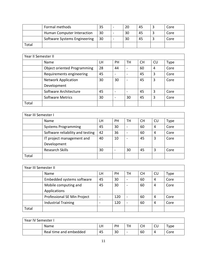|       | Formal methods               | 35 | 20 | 45 | Core |
|-------|------------------------------|----|----|----|------|
|       | Human Computer Interaction   | 30 | 30 | 45 | Core |
|       | Software Systems Engineering | 30 | 30 | 45 | Core |
| Total |                              |    |    |    |      |

| Year II Semester II |                                    |    |                          |                          |           |           |      |  |  |  |
|---------------------|------------------------------------|----|--------------------------|--------------------------|-----------|-----------|------|--|--|--|
|                     | Name                               | LH | <b>PH</b>                | TH                       | <b>CH</b> | <b>CU</b> | Type |  |  |  |
|                     | <b>Object oriented Programming</b> | 28 | 44                       | $\overline{\phantom{0}}$ | 60        | 4         | Core |  |  |  |
|                     | Requirements engineering           | 45 | $\overline{\phantom{0}}$ | $\overline{\phantom{0}}$ | 45        | 3         | Core |  |  |  |
|                     | <b>Network Application</b>         | 30 | 30                       | $\overline{\phantom{0}}$ | 45        | 3         | Core |  |  |  |
|                     | Development                        |    |                          |                          |           |           |      |  |  |  |
|                     | Software Architecture              | 45 | $\overline{\phantom{0}}$ | $\overline{\phantom{0}}$ | 45        | 3         | Core |  |  |  |
|                     | <b>Software Metrics</b>            | 30 | -                        | 30                       | 45        | 3         | Core |  |  |  |
| Total               |                                    |    |                          |                          |           |           |      |  |  |  |

| Year III Semester I |                                  |           |           |                              |           |    |      |  |  |
|---------------------|----------------------------------|-----------|-----------|------------------------------|-----------|----|------|--|--|
|                     | Name                             | <b>LH</b> | <b>PH</b> | TН                           | <b>CH</b> | CU | Type |  |  |
|                     | <b>Systems Programming</b>       | 45        | 30        | $\qquad \qquad \blacksquare$ | 60        | 4  | Core |  |  |
|                     | Software reliability and testing | 42        | 36        | $\overline{\phantom{m}}$     | 60        | 4  | Core |  |  |
|                     | IT project management and        | 40        | 10        | $\overline{\phantom{a}}$     | 45        | 3  | Core |  |  |
|                     | Development                      |           |           |                              |           |    |      |  |  |
|                     | <b>Research Skills</b>           | 30        |           | 30                           | 45        | 3  | Core |  |  |
| Total               |                                  |           |           |                              |           |    |      |  |  |

| Year III Semester II |                             |    |           |                          |           |    |      |  |  |  |
|----------------------|-----------------------------|----|-----------|--------------------------|-----------|----|------|--|--|--|
|                      | Name                        | LH | <b>PH</b> | TН                       | <b>CH</b> | CU | Type |  |  |  |
|                      | Embedded systems software   | 45 | 30        | $\overline{\phantom{0}}$ | 60        | 4  | Core |  |  |  |
|                      | Mobile computing and        | 45 | 30        |                          | 60        | 4  | Core |  |  |  |
|                      | Applications                |    |           |                          |           |    |      |  |  |  |
|                      | Professional SE Min Project |    | 120       | $\overline{\phantom{a}}$ | 60        | 4  | Core |  |  |  |
|                      | <b>Industrial Training</b>  |    | 120       | $\overline{\phantom{0}}$ | 60        | 4  | Core |  |  |  |
| Total                |                             |    |           |                          |           |    |      |  |  |  |

| Year IV Semester I |                        |    |    |                          |    |    |            |
|--------------------|------------------------|----|----|--------------------------|----|----|------------|
|                    | Name                   | LН | PH | TH                       | СH | CU | $\tau$ ype |
|                    | Real time and embedded | 45 | 30 | $\overline{\phantom{0}}$ | 60 |    | Core       |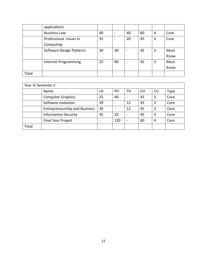|       | applications             |    |                          |                          |    |   |      |
|-------|--------------------------|----|--------------------------|--------------------------|----|---|------|
|       | <b>Business Law</b>      | 40 | $\overline{\phantom{a}}$ | 40                       | 60 | 4 | Core |
|       | Professional Issues in   | 35 | $\overline{\phantom{a}}$ | 20                       | 45 | 3 | Core |
|       | Computing                |    |                          |                          |    |   |      |
|       | Software Design Patterns | 30 | 30                       | $\overline{\phantom{0}}$ | 45 | 3 | Must |
|       |                          |    |                          |                          |    |   | Know |
|       | Internet Programming     | 25 | 40                       | $\overline{\phantom{0}}$ | 45 | 3 | Must |
|       |                          |    |                          |                          |    |   | Know |
| Total |                          |    |                          |                          |    |   |      |

| Year IV Semester II |                                      |    |           |                          |           |    |      |
|---------------------|--------------------------------------|----|-----------|--------------------------|-----------|----|------|
|                     | Name                                 | LH | <b>PH</b> | TH                       | <b>CH</b> | CU | Type |
|                     | <b>Computer Graphics</b>             | 25 | 40        | $\overline{\phantom{0}}$ | 45        | 3  | Core |
|                     | Software evolution                   | 39 |           | 12                       | 45        | 3  | Core |
|                     | <b>Entrepreneurship and Business</b> | 39 |           | 12                       | 45        | 3  | Core |
|                     | <b>Information Security</b>          | 35 | 20        | $\overline{\phantom{0}}$ | 45        | 3  | Core |
|                     | <b>Final Year Project</b>            |    | 120       | $\overline{\phantom{0}}$ | 60        | 4  | Core |
| Total               |                                      |    |           |                          |           |    |      |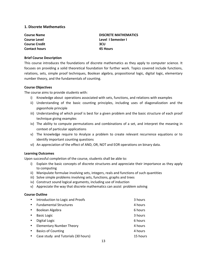# **1. Discrete Mathematics**

| <b>DISCRETE MATHEMATICS</b> |
|-----------------------------|
| Level 1 Semester 1          |
| 3CU                         |
| <b>45 Hours</b>             |
|                             |

# **Brief Course Description**

This course introduces the foundations of discrete mathematics as they apply to computer science. It focuses on providing a solid theoretical foundation for further work. Topics covered include functions, relations, sets, simple proof techniques, Boolean algebra, propositional logic, digital logic, elementary number theory, and the fundamentals of counting.

#### **Course Objectives**

The course aims to provide students with:

- i) Knowledge about operations associated with sets, functions, and relations with examples
- ii) Understanding of the basic counting principles, including uses of diagonalization and the pigeonhole principle
- iii) Understanding of which proof is best for a given problem and the basic structure of each proof technique giving examples
- iv) The ability to compute permutations and combinations of a set, and interpret the meaning in context of particular applications
- v) The knowledge require to Analyze a problem to create relevant recurrence equations or to identify important counting questions
- vi) An appreciation of the effect of AND, OR, NOT and EOR operations on binary data.

## **Learning Outcomes**

Upon successful completion of the course, students shall be able to:

- i) Explain the basic concepts of discrete structures and appreciate their importance as they apply to computing
- ii) Manipulate formulae involving sets, integers, reals and functions of such quantities
- iii) Solve simple problems involving sets, functions, graphs and trees
- iv) Construct sound logical arguments, including use of induction
- v) Appreciate the way that discrete mathematics can assist problem solving

# **Course Outline**

| $\bullet$ | Introduction to Logic and Proofs    | 3 hours  |
|-----------|-------------------------------------|----------|
| $\bullet$ | <b>Fundamental Structures</b>       | 4 hours  |
| $\bullet$ | Boolean Algebra                     | 6 hours  |
| $\bullet$ | <b>Basic Logic</b>                  | 3 hours  |
| $\bullet$ | Digital Logic                       | 6 hours  |
| $\bullet$ | <b>Elementary Number Theory</b>     | 4 hours  |
| $\bullet$ | <b>Basics of Counting</b>           | 4 hours  |
| $\bullet$ | Case study and Tutorials (30 hours) | 15 hours |
|           |                                     |          |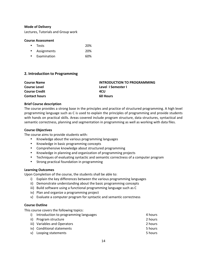Lectures, Tutorials and Group work

## **Course Assessment**

- Tests" 20%
- Assignments" 20%
- Examination 60%

# **2. Introduction to Programming**

| <b>Course Name</b>   | <b>INTRODUCTION TO PROGRAMMING</b> |
|----------------------|------------------------------------|
| <b>Course Level</b>  | Level I Semester I                 |
| <b>Course Credit</b> | 4CU                                |
| <b>Contact hours</b> | <b>60 Hours</b>                    |

# **Brief Course description**

The course provides a strong base in the principles and practice of structured programming. A high level programming language such as C is used to explain the principles of programming and provide students with hands on practical skills. Areas covered include program structure, data structures, syntactical and semantic correctness, planning and segmentation in programming as well as working with data files.

# **Course Objectives**

The course aims to provide students with:

- Knowledge about the various programming languages
- Knowledge in basic programming concepts
- Comprehensive knowledge about structured programming
- Knowledge in planning and organization of programming projects
- Techniques of evaluating syntactic and semantic correctness of a computer program
- Strong practical foundation in programming

# **Learning Outcomes**

Upon Completion of the course, the students shall be able to:

- i) Explain the key differences between the various programming languages
- ii) Demonstrate understanding about the basic programming concepts
- iii) Build software using a functional programming language such as C
- iv) Plan and organize a programming project
- v) Evaluate a computer program for syntactic and semantic correctness

## **Course Outline**

This course covers the following topics:

| i) Introduction to programming languages | 4 hours |
|------------------------------------------|---------|
| ii) Program structure                    | 2 hours |
| iii) Variables and Operators             | 2 hours |
| iv) Conditional statements               | 5 hours |
| v) Looping statements                    | 5 hours |
|                                          |         |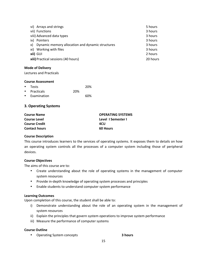| vi) Arrays and strings                                 | 5 hours  |
|--------------------------------------------------------|----------|
| vii) Functions                                         | 3 hours  |
| viii) Advanced data types                              | 3 hours  |
| ix) Pointers                                           | 3 hours  |
| Dynamic memory allocation and dynamic structures<br>X) | 3 hours  |
| xi) Working with files                                 | 3 hours  |
| xii) GUI                                               | 2 hours  |
| xiii) Practical sessions (40 hours)                    | 20 hours |

Lectures and Practicals

## **Course Assessment**

| • Tests       |     | 20% |
|---------------|-----|-----|
| • Practicals  | 20% |     |
| • Examination |     | 60% |

# **3. Operating Systems**

| <b>Course Name</b>   | <b>OPERATING SYSTEMS</b> |
|----------------------|--------------------------|
| <b>Course Level</b>  | Level I Semester I       |
| <b>Course Credit</b> | 4CU                      |
| <b>Contact hours</b> | <b>60 Hours</b>          |

# **Course Description**

This course introduces learners to the services of operating systems. It exposes them to details on how an operating system controls all the processes of a computer system including those of peripheral devices.

# **Course Objectives**

The aims of this course are to:

- Create understanding about the role of operating systems in the management of computer system resources
- Provide in-depth knowledge of operating system processes and principles
- Enable students to understand computer system performance

# **Learning Outcomes**

Upon completion of this course, the student shall be able to:

- i) Demonstrate understanding about the role of an operating system in the management of system resources
- ii) Explain the principles that govern system operations to improve system performance
- iii) Measure the performance of computer systems

# **Course Outline**

• Operating System concepts **3hours 3hours**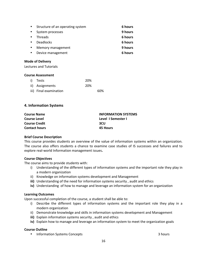| $\bullet$ | Structure of an operating system | 6 hours |
|-----------|----------------------------------|---------|
|           | System processes                 | 9 hours |
| $\bullet$ | <b>Threads</b>                   | 6 hours |
| $\bullet$ | <b>Deadlocks</b>                 | 6 hours |
|           | Memory management                | 9 hours |
|           | Device management                | 6 hours |

Lectures and Tutorials

#### **Course Assessment**

| i) Tests               | 20% |     |
|------------------------|-----|-----|
| ii) Assignments        | 20% |     |
| iii) Final examination |     | 60% |

# **4. Information Systems**

| <b>INFORMATION SYSTEMS</b> |
|----------------------------|
| Level 1 Semester 1         |
| 3CU                        |
| 45 Hours                   |
|                            |

## **Brief Course Description**

This course provides students an overview of the value of information systems within an organization. The course also offers students a chance to examine case studies of IS successes and failures and to explore real-world Information management issues.

## **Course Objectives**

The course aims to provide students with:

- i) Understanding of the different types of information systems and the important role they play in a modern organization
- ii) Knowledge on information systems development and Management
- iii) Understanding of the need for information systems security, audit and ethics
- iv) Understanding of how to manage and leverage an information system for an organization

## **Learning Outcomes**

Upon successful completion of the course, a student shall be able to:

- i) Describe the different types of information systems and the important role they play in a modern organization
- ii) Demonstrate knowledge and skills in information systems development and Management
- **iii)** Explain information systems security, audit and ethics
- iv) Explain how to manage and leverage an information system to meet the organization goals

## **Course Outline**

• Information Systems Concepts"  $\blacksquare$  """ """ """ """ "3 hours" 3 hours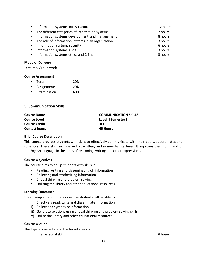|           | • Information systems infrastructure                  | 12 hours |
|-----------|-------------------------------------------------------|----------|
|           | • The different categories of information systems     | 7 hours  |
|           | • Information systems development and management      | 8 hours  |
|           | • The role of Information Systems in an organization; | 3 hours  |
| $\bullet$ | Information systems security                          | 6 hours  |
|           | • Information systems Audit                           | 3 hours  |
| $\bullet$ | Information systems ethics and Crime                  | 3 hours  |

Lectures, Group work

# **Course Assessment**

| ٠         | <b>Tests</b> | 20% |
|-----------|--------------|-----|
| $\bullet$ | Assignments  | 20% |
| ٠         | Examination  | 60% |

# **5. Communication Skills**

| <b>Course Name</b>   | <b>COMMUNICATION SKILLS</b> |
|----------------------|-----------------------------|
| <b>Course Level</b>  | Level 1 Semester 1          |
| <b>Course Credit</b> | 3CU                         |
| <b>Contact hours</b> | 45 Hours                    |

## **Brief Course Description**

This course provides students with skills to effectively communicate with their peers, subordinates and superiors. These skills include verbal, written, and non-verbal gestures. It improves their command of the English language in the areas of reasoning, writing and other expressions.

# **Course Objectives**

The course aims to equip students with skills in:

- Reading, writing and disseminating of information
- Collecting and synthesizing information
- Critical thinking and problem solving
- Utilizing the library and other educational resources

# **Learning Outcomes**

Upon completion of this course, the student shall be able to:

- i) Effectively read, write and disseminate information
- ii) Collect and synthesize information
- iii) Generate solutions using critical thinking and problem solving skills
- iv) Utilize the library and other educational resources

# **Course Outline**

The topics covered are in the broad areas of:

i) Interpersonal skills **6 hours 6 hours**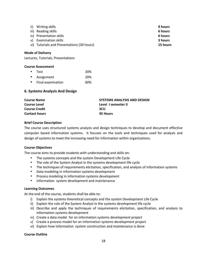| ii) | Writing skills                             | 9 hours  |
|-----|--------------------------------------------|----------|
|     | iii) Reading skills                        | 6 hours  |
|     | iv) Presentation skills                    | 6 hours  |
| v)  | Examination skills                         | 3 hours  |
|     | vi) Tutorials and Presentations (30 hours) | 15 hours |

Lectures, Tutorials, Presentations

#### **Course Assessment**

| $\bullet$ | <b>Test</b>       | 20% |
|-----------|-------------------|-----|
| $\bullet$ | Assignment        | 20% |
| ٠         | Final examination | 60% |

# **6. Systems Analysis And Design**

| <b>Course Name</b>   | <b>SYSTEMS ANALYSIS AND DESIGN</b> |
|----------------------|------------------------------------|
| <b>Course Level</b>  | Level 1 semester II                |
| <b>Course Credit</b> | 3CU                                |
| <b>Contact hours</b> | <b>45 Hours</b>                    |

## **Brief Course Description**

The course uses structured systems analysis and design techniques to develop and document effective computer based information systems. It focuses on the tools and techniques used for analysis and design of systems to meet the increasing need for information within organizations.

## **Course Objectives**

The course aims to provide students with understanding and skills on:

- The systems concepts and the system Development Life Cycle
- The role of the System Analyst in the systems development life cycle
- The techniques of requirements elicitation, specification, and analysis of information systems
- Data modeling in information systems development
- Process modeling in information systems development
- Information system development and maintenance

## **Learning Outcomes**

At the end of the course, students shall be able to:

- i) Explain the systems theoretical concepts and the system Development Life Cycle
- ii) Explain the role of the System Analyst in the systems development life cycle
- iii) Describe and apply the techniques of requirements elicitation, specification, and analysis to information systems development
- iv) Create a data model for an information systems development project
- v) Create a process model for an information systems development project
- vi) Explain how Information system construction and maintenance is done

# **Course Outline**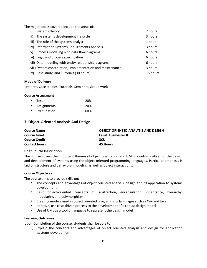The major topics covered include the areas of:

| i)  | Systems theory                                            | 2 hours  |
|-----|-----------------------------------------------------------|----------|
| ii) | The systems development life cycle                        | 3 hours  |
|     | iii) The role of the systems analyst                      | 1 hour   |
|     | iv) Information Systems Requirements Analysis             | 3 hours  |
|     | v) Process modeling with data flow diagrams               | 6 hours  |
|     | vi) Logic and process specification                       | 6 hours  |
|     | vii) Data modeling with entity relationship diagrams      | 6 hours  |
|     | viii) System construction, Implementation and maintenance | 3 hours  |
|     | ix) Case study and Tutorials (30 hours)                   | 15 hours |

# **Mode of Delivery**

Lectures, Case studies, Tutorials, Seminars, Group work

## **Course Assessment**

|           | • Tests     | 20% |
|-----------|-------------|-----|
| $\bullet$ | Assignments | 20% |
| $\bullet$ | Examination | 60% |

# **7. Object-Oriented Analysis And Design**

| <b>Course Name</b>   | <b>OBJECT-ORIENTED ANALYSIS AND DESIGN</b> |
|----------------------|--------------------------------------------|
| <b>Course Level</b>  | Level 1 Semester II                        |
| <b>Course Credit</b> | 3CU                                        |
| <b>Contact hours</b> | 45 Hours                                   |

## **Brief Course Description**

The course covers the important themes of object orientation and UML modeling, critical for the design and development of systems using the object oriented programming languages. Particular emphasis is laid on structure and behavioral modeling as well as object interactions.

## **Course Objectives**

The course aims to provide skills on:

- The concepts and advantages of object oriented analysis, design and its application to systems development.
- Basic object-oriented concepts of; abstraction, encapsulation, inheritance, hierarchy, modularity, and polymorphism
- Creating models used in object oriented programming languages such as C++ and Java
- Iterative, use case-driven process to the development of a robust design model
- Use of UML as a tool or language to represent the design model

## **Learning Outcomes**

Upon Completion of the course, students shall be able to:

i) Explain the concepts and advantages of object oriented analysis and design for application systems development.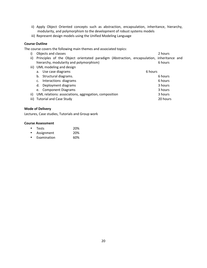- ii) Apply Object Oriented concepts such as abstraction, encapsulation, inheritance, hierarchy, modularity, and polymorphism to the development of robust systems models
- iii) Represent design models using the Unified Modeling Language

# **Course Outline**

The course covers the following main themes and associated topics:

- i) Objects and classes 2 hours 2 hours 2 hours 2 hours 2 hours 2 hours 2 hours 2 hours 2 hours 2 hours 2 hours ii) Principles of the Object orientated paradigm (Abstraction, encapsulation, inheritance and hierarchy, modularity and polymorphism) example the state of the state of hours of hours
	- iii) UML modeling and design a. Use case diagrams 6 hours 6 hours 6 hours 6 hours 6 hours 6 hours 6 hours 6 hours 6 hours 6 hours 6 hours 6 hours b. Structural diagrams. 6" and the structural diagrams. c. Interactions diagrams 6" and the control of the control of the control of the control of the control of the control of the control of the control of the control of the control of the control of the control of the contro d. Deployment diagrams and the set of the set of the set of the set of the set of the set of the set of the set of the set of the set of the set of the set of the set of the set of the set of the set of the set of the set e. Component Diagrams 3" hours 3" hours 3" hours 3" hours 3" hours 3" hours 3" hours 3" hours 3" hours 3" hours ii) UML relations: associations, aggregation, composition 3 hours 3 hours iii) Tutorial and Case Study 20 hours

#### **Mode of Delivery**

Lectures, Case studies, Tutorials and Group work

| ٠         | <b>Tests</b> | 20% |
|-----------|--------------|-----|
| $\bullet$ | Assignment   | 20% |
| ٠         | Examination  | 60% |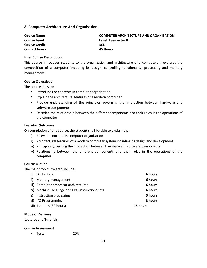# **8. Computer Architecture And Organisation**

| <b>Course Name</b>   | <b>COMPUTER ARCHITECTURE AND ORGANISATION</b> |
|----------------------|-----------------------------------------------|
| <b>Course Level</b>  | Level I Semester II                           |
| <b>Course Credit</b> | 3CU                                           |
| <b>Contact hours</b> | 45 Hours                                      |

#### **Brief Course Description**

This course introduces students to the organization and architecture of a computer. It explores the composition of a computer including its design, controlling functionality, processing and memory management."

## **Course Objectives**

The course aims to:

- Introduce the concepts in computer organization
- Explain the architectural features of a modern computer
- Provide understanding of the principles governing the interaction between hardware and software components
- Describe the relationship between the different components and their roles in the operations of the computer

#### **Learning Outcomes**

On completion of this course, the student shall be able to explain the:

- i) Relevant concepts in computer organization
- ii) Architectural features of a modern computer system including its design and development
- iii) Principles governing the interaction between hardware and software components
- iv) Relationship between the different components and their roles in the operations of the computer

# **Course Outline**

The major topics covered include:

| i) | Digital logic                                  | 6 hours  |
|----|------------------------------------------------|----------|
|    | ii) Memory management                          | 6 hours  |
|    | iii) Computer processor architectures          | 6 hours  |
|    | iv) Machine Language and CPU Instructions sets | 6 hours  |
|    | v) Instruction processing                      | 3 hours  |
|    | vi) I/O Programming                            | 3 hours  |
|    | vii) Tutorials (30 hours)                      | 15 hours |

#### **Mode of Delivery**

Lectures and Tutorials

#### **Course Assessment**

• Tests 20%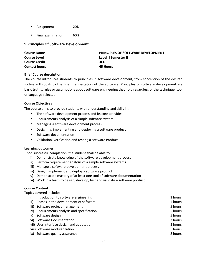- Assignment 20%
- Final examination 60%

# **9. Principles Of Software Development**

| <b>Course Name</b>   | <b>PRINCIPLES OF SOFTWARE DEVELOPMENT</b> |
|----------------------|-------------------------------------------|
| <b>Course Level</b>  | Level 1 Semester II                       |
| <b>Course Credit</b> | 3CU                                       |
| <b>Contact hours</b> | 45 Hours                                  |

# **Brief Course description**

The course introduces students to principles in software development, from conception of the desired software through to the final manifestation of the software. Principles of software development are basic truths, rules or assumptions about software engineering that hold regardless of the technique, tool or language selected.

# **Course Objectives**

The course aims to provide students with understanding and skills in:

- The software development process and its core activities
- Requirements analysis of a simple software system
- Managing a software development process
- Designing, implementing and deploying a software product
- Software documentation
- Validation, verification and testing a software Product

## **Learning outcomes**

Upon successful completion, the student shall be able to:

- i) Demonstrate knowledge of the software development process
- ii) Perform requirement analysis of a simple software systems
- iii) Manage a software development process
- iv) Design, implement and deploy a software product
- v) Demonstrate mastery of at least one tool of software documentation
- vi) Work in a team to design, develop, test and validate a software product

# **Course Content**

Topics covered include:

| Introduction to software engineering<br>i)   | 3 hours |
|----------------------------------------------|---------|
| Phases in the development of software<br>ii) | 5 hours |
| iii) Software project management             | 5 hours |
| iv) Requirements analysis and specification  | 5 hours |
| Software design<br>v)                        | 5 hours |
| vi) Software Documentation                   | 3 hours |
| vii) User Interface design and adaptation    | 3 hours |
| viii) Software modularization                | 5 hours |
| ix) Software quality assurance               | 8 hours |
|                                              |         |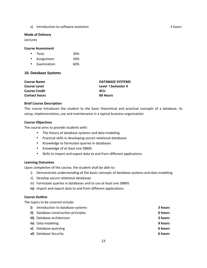x) Introduction to software evolution """ """ "" "" "" "" "" "" 3 hours

#### **Mode of Delivery**

Lectures

# **Course Assessment**

| <b>Tests</b> | 20% |
|--------------|-----|
| Assignment   | 20% |

• Examination 60%

# **10. Database Systems**

| <b>Course Name</b>   | <b>DATABASE SYSTEMS</b> |
|----------------------|-------------------------|
| <b>Course Level</b>  | Level I Semester II     |
| <b>Course Credit</b> | 4CU                     |
| <b>Contact hours</b> | <b>60 Hours</b>         |

# **Brief Course Description**

This course introduces the student to the basic theoretical and practical concepts of a database, its setup, implementation, use and maintenance in a typical business organization.

# **Course Objectives**

The course aims to provide students with:

- The theory of database systems and data modeling
- Practical skills in developing secure relational databases
- Knowledge to formulate queries in databases
- Knowledge of at least one DBMS
- Skills to import and export data to and from different applications

# **Learning Outcomes**

Upon completion of the course, the student shall be able to:

- i) Demonstrate understanding of the basic concepts of database systems and data modeling
- ii) Develop secure relational databases
- iii) Formulate queries in databases and to use at least one DBMS
- iv) Import and export data to and from different applications

## **Course Outline**

The topics to be covered include:

| i)  | Introduction to database systems | 3 hours |
|-----|----------------------------------|---------|
| ii) | Database construction principles | 6 hours |
|     | iii) Database architecture       | 3 hours |
|     | iv) Data modeling                | 9 hours |
| v)  | Database querying                | 6 hours |
|     | vi) Database Security            | 6 hours |
|     |                                  |         |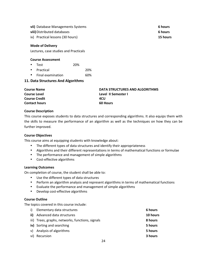- **vii)** Database Managements Systems **6 hours 6 hours**
- **viii)** Distributed databases **6 hours 6 hours**
- ix) Practical lessons (30 hours) **15 hours 15 hours**

Lectures, case studies and Practicals

# **Course Assessment**

- Test 20%
- Practical 20%
- Final examination 60%

# **11. Data Structures And Algorithms**

| <b>Course Name</b>   | DATA STRUCTURES AND ALGORITHMS |
|----------------------|--------------------------------|
| <b>Course Level</b>  | Level II Semester I            |
| <b>Course Credit</b> | 4CU                            |
| <b>Contact hours</b> | <b>60 Hours</b>                |

# **Course Description**

This course exposes students to data structures and corresponding algorithms. It also equips them with the skills to measure the performance of an algorithm as well as the techniques on how they can be" further improved.

# **Course Objectives**

This course aims at equipping students with knowledge about:

- The different types of data structures and identify their appropriateness
- Algorithms and their different representations in terms of mathematical functions or formulae
- The performance and management of simple algorithms
- Cost-effective algorithms

# **Learning Outcomes**

On completion of course, the student shall be able to:

- Use the different types of data structures
- Perform an algorithm analysis and represent algorithms in terms of mathematical functions
- Evaluate the performance and management of simple algorithms
- Develop cost-effective algorithms

# **Course Outline**

The topics covered in this course include:

| i) Elementary data structures                    | 6 hours  |
|--------------------------------------------------|----------|
| <b>ii)</b> Advanced data structures              | 10 hours |
| iii) Trees, graphs, networks, functions, signals | 8 hours  |
| iv) Sorting and searching                        | 5 hours  |
| v) Analysis of algorithms                        | 5 hours  |
| vi) Recursion                                    | 3 hours  |
|                                                  |          |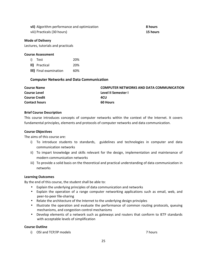**vii)** Algorithm performance and optimization **8 hours 8 hours** viii) Practicals (30 hours) **15 hours 15 hours** 

#### **Mode of Delivery**

Lectures, tutorials and practicals

#### **Course Assessment**

| i) Test                | 20% |
|------------------------|-----|
| II) Practical          | 20% |
| III) Final examination | 60% |

# **Computer Networks and Data Communication**

| <b>Course Name</b>   | <b>COMPUTER NETWORKS AND DATA COMMUNICATION</b> |
|----------------------|-------------------------------------------------|
| <b>Course Level</b>  | Level II Semester I                             |
| <b>Course Credit</b> | 4CU                                             |
| <b>Contact hours</b> | <b>60 Hours</b>                                 |

#### **Brief Course Description**

This course introduces concepts of computer networks within the context of the Internet. It covers fundamental principles, elements and protocols of computer networks and data communication.

#### **Course Objectives**

The aims of this course are:

- i) To introduce students to standards, guidelines and technologies in computer and data communication networks
- ii) To impart knowledge and skills relevant for the design, implementation and maintenance of modern communication networks
- iii) To provide a solid basis on the theoretical and practical understanding of data communication in networks

## **Learning Outcomes**

By the end of this course, the student shall be able to:

- Explain the underlying principles of data communication and networks
- Explain the operation of a range computer networking applications such as email, web, and peer-to-peer file-sharing
- Relate the architecture of the Internet to the underlying design principles
- Illustrate the operation and evaluate the performance of common routing protocols, queuing mechanisms, and congestion control mechanisms
- Develop elements of a network such as gateways and routers that conform to IETF standards with acceptable levels of simplification

# **Course Outline**

i) OSI and TCP/IP models 7 hours 7 hours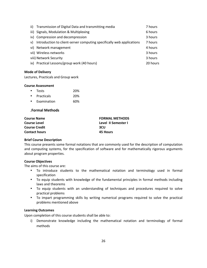| ii) | Transmission of Digital Data and transmitting media                   | 7 hours  |
|-----|-----------------------------------------------------------------------|----------|
|     | iii) Signals, Modulation & Multiplexing                               | 6 hours  |
|     | iv) Compression and decompression                                     | 3 hours  |
| v)  | Introduction to client-server computing specifically web applications | 7 hours  |
|     | vi) Network management                                                | 4 hours  |
|     | vii) Wireless networks                                                | 3 hours  |
|     | viii) Network Security                                                | 3 hours  |
|     | ix) Practical Lessons/group work (40 hours)                           | 20 hours |

Lectures, Practicals and Group work

#### **Course Assessment**

| <b>Tests</b> | 20% |
|--------------|-----|
| Practicals   | 20% |

• Examination 60%

# **.Formal(Methods**

| <b>FORMAL METHODS</b> |  |
|-----------------------|--|
| Level II Semester I   |  |
| 3CU                   |  |
| 45 Hours              |  |
|                       |  |

## **Brief Course Description**

This course presents some formal notations that are commonly used for the description of computation and computing systems, for the specification of software and for mathematically rigorous arguments about program properties.

# **Course Objectives**

The aims of this course are:

- To introduce students to the mathematical notation and terminology used in formal specification
- To equip students with knowledge of the fundamental principles in formal methods including laws and theorems
- To equip students with an understanding of techniques and procedures required to solve practical problems
- To impart programming skills by writing numerical programs required to solve the practical problems mentioned above

# **Learning Outcomes**

Upon completion of this course students shall be able to:

i) Demonstrate knowledge including the mathematical notation and terminology of formal methods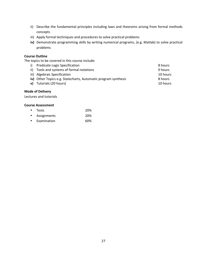- ii) Describe the fundamental principles including laws and theorems arising from formal methods concepts
- iii) Apply formal techniques and procedures to solve practical problems
- iv) Demonstrate programming skills by writing numerical programs, (e.g. Matlab) to solve practical problems

# **Course Outline**

The topics to be covered in this course include:

i) Predicate Logic Specification 8 hours ii) Tools and systems of formal notations example to the systems of formal notations 9 hours iii) Algebraic Specification 10 hours iv) Other Topics e.g. Statecharts, Automatic program synthesis 8hours 8 hours **v**) Tutorials (20 hours) 10 hours

# **Mode of Delivery**

Lectures and tutorials

|           | • Tests       | 20% |
|-----------|---------------|-----|
|           | • Assignments | 20% |
| $\bullet$ | Examination   | 60% |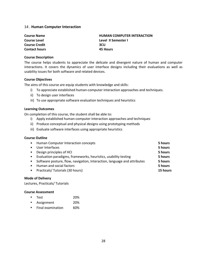# 14 . Human Computer Interaction

| <b>Course Name</b>   | <b>HUMAN COMPUTER INTERACTION</b> |
|----------------------|-----------------------------------|
| <b>Course Level</b>  | Level II Semester I               |
| <b>Course Credit</b> | 3CU                               |
| <b>Contact hours</b> | 45 Hours                          |

#### **Course Description**

The course helps students to appreciate the delicate and divergent nature of human and computer interactions. It covers the dynamics of user interface designs including their evaluations as well as usability issues for both software and related devices.

#### **Course Objectives**

The aims of this course are equip students with knowledge and skills:

- i) To appreciate established human-computer interaction approaches and techniques.
- ii) To design user interfaces
- iii) To use appropriate software evaluation techniques and heuristics

#### **Learning Outcomes**

On completion of this course, the student shall be able to:

- i) Apply established human-computer interaction approaches and techniques
- ii) Produce conceptual and physical designs using prototyping methods
- iii) Evaluate software interfaces using appropriate heuristics

# **Course Outline**

| $\bullet$ | Human Computer Interaction concepts                                      | 5 hours  |
|-----------|--------------------------------------------------------------------------|----------|
| ٠         | User Interfaces                                                          | 5 hours  |
| $\bullet$ | Design principles of HCI                                                 | 5 hours  |
| $\bullet$ | Evaluation paradigms, frameworks, heuristics, usability testing          | 5 hours  |
| $\bullet$ | Software posture, flow, navigation, Interaction, language and attributes | 5 hours  |
| ٠         | Human and social factors                                                 | 5 hours  |
| $\bullet$ | Practicals/Tutorials (30 hours)                                          | 15 hours |
|           |                                                                          |          |

## **Mode of Delivery**

Lectures, Practicals/ Tutorials

#### **Course Assessment**

| $\bullet$ | Test | 20% |
|-----------|------|-----|
|           |      |     |

|  | Assignment | 20% |
|--|------------|-----|
|--|------------|-----|

• Final examination 60%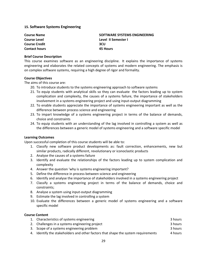# **15. Software Systems Engineering**

| <b>Course Name</b>   | SOFTWARE SYSTEMS ENGINEERING |
|----------------------|------------------------------|
| <b>Course Level</b>  | Level II Semester I          |
| <b>Course Credit</b> | 3CU                          |
| <b>Contact hours</b> | 45 Hours                     |

#### **Brief Course Description**

This course examines software as an engineering discipline. It explains the importance of systems engineering and elaborates the related concepts of systems and modern engineering. The emphasis is on complex software systems, requiring a high degree of rigor and formality.

#### **Course Objectives**

The aims of this course are:

- 20. To introduce students to the systems engineering approach to software systems
- 21. To equip students with analytical skills so they can evaluate the factors leading up to system complication and complexity, the causes of a systems failure, the importance of stakeholders involvement in a systems engineering project and using input-output diagramming
- 22. To enable students appreciate the importance of systems engineering important as well as the difference between process science and engineering
- 23. To impart knowledge of a systems engineering project in terms of the balance of demands, choice and constraints
- 24. To equip students with an understanding of the lag involved in controlling a system as well as the differences between a generic model of systems engineering and a software specific model

# **Learning Outcomes**

Upon successful completion of this course students will be able to:

- 1. Classify new software product developments as: fault correction, enhancements, new but similar products, radically different, revolutionary or iconoclastic products
- 2. Analyse the causes of a systems failure
- 3. Identify and evaluate the relationships of the factors leading up to system complication and complexity
- 4. Answer the question 'why is systems engineering important?
- 5. Define the difference in process between science and engineering
- 6. Identify and analyse the importance of stakeholders involved in a systems engineering project
- 7. Classify a systems engineering project in terms of the balance of demands, choice and constraints;
- 8. Analyse a system using input-output diagramming
- 9. Estimate the lag involved in controlling a system
- 10. Evaluate the differences between a generic model of systems engineering and a software specific model

#### **Course(Content**

| 1. Characteristics of systems engineering                                         | 3 hours |
|-----------------------------------------------------------------------------------|---------|
| 2. Challenges in a systems engineering project                                    | 3 hours |
| 3. Scope of a systems engineering problem                                         | 3 hours |
| 4. Identify the stakeholders and other factors that shape the system requirements | 4 hours |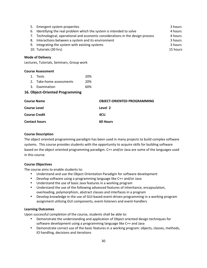| 5. Emergent system properties                                                   | 3 hours  |
|---------------------------------------------------------------------------------|----------|
| 6. Identifying the real problem which the system is intended to solve           | 4 hours  |
| 7. Technological, operational and economic considerations in the design process | 4 hours  |
| 8. Interactions between a system and its environment                            | 3 hours  |
| 9. Integrating the system with existing systems                                 | 3 hours  |
| 10. Tutorials (30 hrs)                                                          | 15 hours |
|                                                                                 |          |

Lectures, Tutorials, Seminars, Group work

## **Course Assessment**

| 1. Tests                 | 20% |
|--------------------------|-----|
| 2. Take-home assessments | 20% |
| 3. Examination           | 60% |

# **16. Object-Oriented Programming**

| <b>Course Name</b>   | <b>OBJECT-ORIENTED PROGRAMMING</b> |
|----------------------|------------------------------------|
| <b>Course Level</b>  | Level 2                            |
| <b>Course Credit</b> | 4CU                                |
| <b>Contact hours</b> | <b>60 Hours</b>                    |

# **Course Description**

The object oriented programming paradigm has been used in many projects to build complex software systems. This course provides students with the opportunity to acquire skills for building software based on the object oriented programming paradigm. C++ and/or Java are some of the languages used in this course.

# **Course Objectives**

The course aims to enable students to:

- Understand and use the Object Orientation Paradigm for software development
- Develop software using a programming language like C++ and/or Java
- Understand the use of basic Java features in a working program
- Understand the use of the following advanced features of inheritance, encapsulation, overloading, polymorphism, abstract classes and interfaces in a program
- Develop knowledge in the use of GUI-based event-driven programming in a working program assignment utilizing GUI components, event-listeners and event-handlers

# **Learning Outcomes**

Upon successful completion of the course, students shall be able to:

- Demonstrate the understanding and application of Object oriented design techniques for software development using a programming language like C++ and Java
- Demonstrate correct use of the basic features in a working program: objects, classes, methods, IO handling, decisions and iterations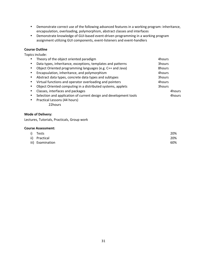- Demonstrate correct use of the following advanced features in a working program: inheritance, encapsulation, overloading, polymorphism, abstract classes and interfaces
- Demonstrate knowledge of GUI-based event-driven programming in a working program assignment utilizing GUI components, event-listeners and event-handlers

# **Course Outline**

Topics include:

|   | Theory of the object oriented paradigm                            | 4hours |
|---|-------------------------------------------------------------------|--------|
|   | Data types, inheritance, exceptions, templates and patterns       | 3hours |
|   | Object Oriented programming languages (e.g. C++ and Java)         | 8hours |
|   | Encapsulation, inheritance, and polymorphism                      | 4hours |
|   | Abstract data types, concrete data types and subtypes             | 3hours |
| ٠ | Virtual functions and operator overloading and pointers           | 4hours |
|   | Object Oriented computing in a distributed systems, applets       | 3hours |
| ٠ | Classes, interfaces and packages                                  | 4hours |
|   | Selection and application of current design and development tools | 4hours |
| ٠ | Practical Lessons (44 hours)                                      |        |
|   | 22hours                                                           |        |
|   |                                                                   |        |

# **Mode of Delivery:**

Lectures, Tutorials, Practicals, Group work

| i) Tests         | 20% |
|------------------|-----|
| ii) Practical    | 20% |
| iii) Examination | 60% |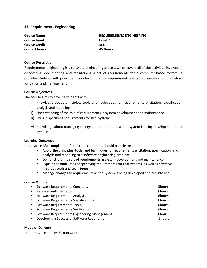# **17. Requirements Engineering**

**Course Name Mame REQUIREMENTS ENGINEERING Course Level Course Level A Course Credit Course Credit 3CU Contact hours 45 Hours** 

#### **Course Description**

Requirements engineering is a software engineering process which covers all of the activities involved in discovering, documenting and maintaining a set of requirements for a computer-based system. It provides students with principles, tools techniques for requirements elicitation, specification, modeling, validation and management.

#### **Course Objectives**

The course aims to provide students with:

- i) Knowledge about principles, tools and techniques for requirements elicitation, specification analysis and modeling
- ii) Understanding of the role of requirements in system development and maintenance
- iii) Skills in specifying requirements for Real Systems
- iv) Knowledge about managing changes to requirements as the system is being developed and put into use.

# **Learning Outcomes**

Upon successful completion of the course students should be able to:

- Apply the principles, tools, and techniques for requirements elicitation, specification, and analysis and modeling to a software engineering problem
- Demonstrate the role of requirements in system development and maintenance
- Explain the difficulties of specifying requirements for real systems, as well as effective methods tools and techniques.
- Manage changes to requirements as the system is being developed and put into use

## **Course Outline**

| $\bullet$ | Software Requirements Concepts,               | 3hours |
|-----------|-----------------------------------------------|--------|
| $\bullet$ | <b>Requirements Elicitation</b>               | 6hours |
| $\bullet$ | Software Requirements Analysis,               | 6hours |
| $\bullet$ | Software Requirements Specifications,         | 6hours |
| $\bullet$ | Software Requirements Tools,                  | 6hours |
| $\bullet$ | Software Requirements Verification,           | 6hours |
| $\bullet$ | Software Requirements Engineering Management, | 6hours |
| $\bullet$ | Developing a Successful Software Requirement. | 6hours |
|           |                                               |        |

## **Mode of Delivery**

Lectures, Case studies, Group work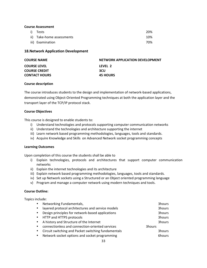# **Course Assessment**

| i) Tests                  | 20% |
|---------------------------|-----|
| ii) Take-home assessments | 10% |
| iii) Examination          | 70% |

# **18.Network Application Development**

| <b>COURSE NAME</b>   | NETWORK APPLICATION DEVELOPMENT |
|----------------------|---------------------------------|
| <b>COURSE LEVEL</b>  | LEVEL 2                         |
| <b>COURSE CREDIT</b> | <b>3CU</b>                      |
| <b>CONTACT HOURS</b> | <b>45 HOURS</b>                 |

# **Course description**

The course introduces students to the design and implementation of network-based applications, demonstrated using Object-Oriented Programming techniques at both the application layer and the transport layer of the TCP/IP protocol stack.

# **Course Objectives**

This course is designed to enable students to:

- i) Understand technologies and protocols supporting computer communication networks
- ii) Understand the technologies and architecture supporting the internet
- iii) Learn network based programming methodologies, languages, tools and standards.
- iv) Acquire Knowledge and Skills on Advanced Network socket programming concepts

# **Learning Outcomes**

Upon completion of this course the students shall be able to

- i) Explain technologies, protocols and architectures that support computer communication networks
- ii) Explain the internet technologies and its architecture
- iii) Explain network based programming methodologies, languages, tools and standards.
- iv) Set up Network sockets using a Structured or an Object oriented programming language
- v) Program and manage a computer network using modern techniques and tools.

## **Course Outline:**

Topics include:

| $\bullet$ | Networking Fundamentals,                            | 3hours |
|-----------|-----------------------------------------------------|--------|
|           | layered protocol architectures and service models   | 3hours |
|           | Design principles for network-based applications    | 3hours |
|           | • HTTP and HTTPS protocols                          | 3hours |
|           | • A history and Structure of the Internet           | 3hours |
|           | connectionless and connection-oriented services     | 3hours |
|           | Circuit switching and Packet switching fundamentals | 3hours |
|           | Network socket options and socket programming       | 6hours |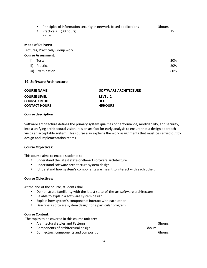| $\bullet$<br>$\bullet$    | Principles of information security in network-based applications<br>Practicals (30 hours)<br>hours | 3hours<br>15 |
|---------------------------|----------------------------------------------------------------------------------------------------|--------------|
| <b>Mode of Delivery:</b>  |                                                                                                    |              |
|                           | Lectures, Practicals/ Group work                                                                   |              |
| <b>Course Assessment:</b> |                                                                                                    |              |

| i) | Tests            | 20% |
|----|------------------|-----|
|    | ii) Practical    | 20% |
|    | iii) Examination | 60% |

## **19. Software Architecture**

| <b>COURSE NAME</b>   | SOFTWARE ARCHITECTURE |
|----------------------|-----------------------|
| <b>COURSE LEVEL</b>  | LFVFL 2               |
| <b>COURSE CREDIT</b> | <b>3CU</b>            |
| <b>CONTACT HOURS</b> | <b>45HOURS</b>        |

#### **Course description**

Software architecture defines the primary system qualities of performance, modifiability, and security, into a unifying architectural vision. It is an artifact for early analysis to ensure that a design approach yields an acceptable system. This course also explains the work assignments that must be carried out by design and implementation teams

#### **Course Objectives:**

This course aims to enable students to:

- understand the latest state-of-the-art software architecture
- understand software architecture system design
- Understand how system's components are meant to interact with each other.

# **Course Objectives:**

At the end of the course, students shall:

- Demonstrate familiarity with the latest state-of-the-art software architecture
- Be able to explain a software system design
- Explain how system's components interact with each other
- Describe a software system design for a particular program

## **Course Content:**

The topics to be covered in this course unit are:

- Architectural styles and Patterns Theorem 2012 Shours 3hours 3hours 3hours 3hours 3hours 3hours 3hours 3hours 3hours 3hours 3hours 3hours 3hours 3hours 3hours 3hours 3hours 3hours 3hours 3hours 3hours 3hours 3hours 3hour
- Components of architectural design Theorem 3hours 3hours
- Connectors, components and composition **6hours** 6hours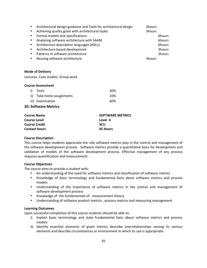| $\bullet$ | Architectural design guidance and Tools for architectural design | 3hours |        |
|-----------|------------------------------------------------------------------|--------|--------|
| $\bullet$ | Achieving quality goals with architectural styles                | 3hours |        |
| $\bullet$ | Formal models and specifications                                 |        | 6hours |
| $\bullet$ | Analyzing software architecture with SAAM                        |        | 6hours |
| $\bullet$ | Architecture description languages (ADLs)                        |        | 6hours |
| $\bullet$ | Architecture-based development                                   |        | 3hours |
| $\bullet$ | Patterns in software architecture                                |        | 3hours |
| $\bullet$ | Reusing software architecture                                    | 3hours |        |
|           |                                                                  |        |        |

Lectures, Case studies, Group work

| i) Tests                  | 30% |
|---------------------------|-----|
| ii) Take home assignments | 10% |
| iii) Examination          | 60% |

#### **20. Software Metrics**

| <b>Course Name</b>   | <b>SOFTWARE METRICS</b> |
|----------------------|-------------------------|
| <b>Course Level</b>  | Level 4                 |
| <b>Course Credit</b> | 3CU                     |
| <b>Contact hours</b> | 45 Hours                |

#### **Course Description**

This course helps students appreciate the role software metrics play in the control and management of the software development process. Software metrics provide a quantitative basis for development and validation of models of the software development process. Effective management of any process requires quantification and measurement.

## **Course Objectives**

The course aims to provide a student with:

- An understanding of the need for software metrics and classification of software metrics
- Knowledge of basic terminology and fundamental facts about software metrics and process models
- Understanding of the importance of software metrics in the control and management of software development process
- Knowledge of the fundamentals of measurement theory
- Understanding of software product metrics, process metrics and measuring management

# **Learning Outcomes**

Upon successful completion of this course students should be able to:

- i) Explain basic terminology and state fundamental facts about software metrics and process models
- ii) Identify essential elements of given metrics describe interrelationships among its various elements and describe circumstances or environment in which its use is appropriate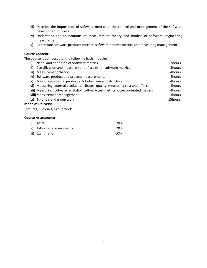- iii) Describe the importance of software metrics in the control and management of the software development process.
- iv) Understand the foundations of measurement theory and models of software engineering measurement
- v) Appreciate software products metrics, software process metrics and measuring management.

# **Course Content:**

The course is composed of the following basic modules:

| Need and definition of Software metrics,                                            | 3hours  |
|-------------------------------------------------------------------------------------|---------|
| ii) Classification and measurement of scales for software metrics                   | 3hours  |
| iii) Measurement theory                                                             | 4hours  |
| iv) Software product and process measurements                                       | 4hours  |
| v) Measuring internal product attributes: size and structure                        | 4hours  |
| vi) Measuring external product attributes: quality, measuring cost and effort,      | 4hours  |
| vii) Measuring software reliability, software test metrics, object-oriented metrics | 4hours  |
| viii) Measurement management                                                        | 4hours  |
| ix) Tutorials and group work                                                        | 15hours |
| <b>Mode of Delivery:</b>                                                            |         |

Lectures, Tutorials, Group work

| i) Tests                  | <b>20%</b> |
|---------------------------|------------|
| ii) Take-home assessments | 20%        |
| iii) Examination          | 60%        |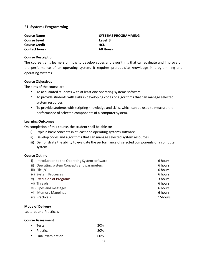# 21. **Systems Programming**

**Course Name COULD COURSE ASSESSED ASSESSED AT A SYSTEMS PROGRAMMING Course Level Course Level 3 Course Credit ACU Contact hours 60 Hours** 

# **Course Description**

The course trains learners on how to develop codes and algorithms that can evaluate and improve on the performance of an operating system. It requires prerequisite knowledge in programming and operating systems.

# **Course Objectives**

The aims of the course are:

- To acquainted students with at least one operating systems software.
- To provide students with skills in developing codes or algorithms that can manage selected system resources.
- To provide students with scripting knowledge and skills, which can be used to measure the performance of selected components of a computer system.

# **Learning Outcomes**

On completion of this course, the student shall be able to:

- i) Explain basic concepts in at least one operating systems software.
- ii) Develop codes and algorithms that can manage selected system resources.
- iii) Demonstrate the ability to evaluate the performance of selected components of a computer system.

# **Course Outline**

| Introduction to the Operating System software<br>i) | 6 hours |
|-----------------------------------------------------|---------|
| ii) Operating system Concepts and parameters        | 6 hours |
| iii) File I/O                                       | 6 hours |
| iv) System Processes                                | 6 hours |
| v) Execution of Programs                            | 3 hours |
| vi) Threads                                         | 6 hours |
| vii) Pipes and messages                             | 6 hours |
| viii) Memory Mappings                               | 6 hours |
| ix) Practicals                                      | 15hours |
|                                                     |         |

## **Mode of Delivery**

Lectures and Practicals

# **Course Assessment**

| • Tests     | 20% |
|-------------|-----|
| • Practical | 20% |

• Final examination 60%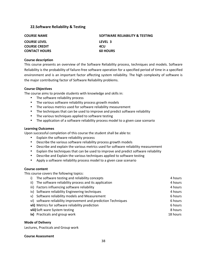# **22.Software Reliability & Testing**

| <b>COURSE NAME</b>   | SOFTWARE RELIABILITY & TESTING |
|----------------------|--------------------------------|
| <b>COURSE LEVEL</b>  | LEVEL 3                        |
| <b>COURSE CREDIT</b> | 4CU                            |
| <b>CONTACT HOURS</b> | <b>60 HOURS</b>                |

# **Course description**

This course presents an overview of the Software Reliability process, techniques and models. Software Reliability is the probability of failure-free software operation for a specified period of time in a specified environment and is an important factor affecting system reliability. The high complexity of software is the major contributing factor of Software Reliability problems.

# **Course Objectives**

The course aims to provide students with knowledge and skills in:

- The software reliability process
- The various software reliability process growth models
- The various metrics used for software reliability measurement
- The techniques that can be used to improve and predict software reliability
- The various techniques applied to software testing
- The application of a software reliability process model to a given case scenario

# **Learning Outcomes**

Upon successful completion of this course the student shall be able to:

- Explain the software reliability process
- Describe the various software reliability process growth models
- Describe and explain the various metrics used for software reliability measurement
- Explain the techniques that can be used to improve and predict software reliability
- Describe and Explain the various techniques applied to software testing
- Apply a software reliability process model to a given case scenario

# **Course content**

This course covers the following topics:

i) The software testing and reliability concepts 4 hours 4 hours 4 hours ii) The software reliability process and its application The Communication 4" hours iii) Factors influencing software reliability and the state of the state of the 4 hours and 4 hours iv) Software reliability Engineering techniques 4 hours 4 hours 4 hours v) Software reliability models and Measurement 6 hours 6 hours vi) software reliability improvement and prediction Techniques 6 hours 6 hours **vii)** Metrics for software reliability prediction **6 hours** 6 hours **viii)** Soft ware System testing The Control of the Control of the Control of the Control of the Control of the Control of the Control of the Control of the Control of the Control of the Control of the Control of the Contr **ix)** Practicals and group work  $\blacksquare$  """  $\blacksquare$  """ "" "" "18 hours

# **Mode of Delivery**

Lectures, Practicals and Group work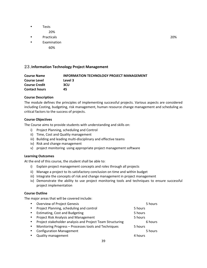- Tests 20%
- Practicals **20%**
- **Examination** 
	- 60%

# 23.**Information(Technology(Project(Management**

| <b>Course Name</b>   | <b>INFORMATION TECHNOLOGY PROJECT MANAGEMENT</b> |
|----------------------|--------------------------------------------------|
| <b>Course Level</b>  | Level 3                                          |
| <b>Course Credit</b> | 3CU                                              |
| <b>Contact hours</b> | 45                                               |

# **Course Description**

The module defines the principles of implementing successful projects. Various aspects are considered including Costing, budgeting, risk management, human resource change management and scheduling as critical factors to the success of projects.

# **Course Objectives**

The Course aims to provide students with understanding and skills on:

- i) Project Planning, scheduling and Control
- ii) Time, Cost and Quality management
- iii) Building and leading multi-disciplinary and effective teams
- iv) Risk and change management
- v) project monitoring using appropriate project management software

## **Learning Outcomes**

At the end of this course, the student shall be able to:

- i) Explain project management concepts and roles through all projects
- ii) Manage a project to its satisfactory conclusion on time and within budget
- iii) Integrate the concepts of risk and change management in project management
- iv) Demonstrate the ability to use project monitoring tools and techniques to ensure successful project implementation

## **Course Outline**

The major areas that will be covered include:

| $\bullet$ | <b>Overview of Project Genesis</b>                        | 5 hours |
|-----------|-----------------------------------------------------------|---------|
| $\bullet$ | Project Planning, scheduling and control                  | 5 hours |
| $\bullet$ | <b>Estimating, Cost and Budgeting</b>                     | 5 hours |
| $\bullet$ | Project Risk Analysis and Management                      | 5 hours |
| $\bullet$ | Project stakeholder analysis and Project Team Structuring | 6 hours |
| $\bullet$ | Monitoring Progress - Processes tools and Techniques      | 5 hours |
| $\bullet$ | <b>Configuration Management</b>                           | 5 hours |
|           | <b>Quality management</b>                                 | 4 hours |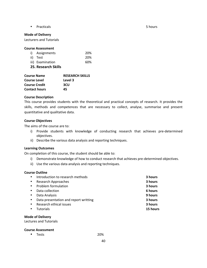• Practicals 5 hours and the set of the set of the set of the set of the set of the set of the set of the set of the set of the set of the set of the set of the set of the set of the set of the set of the set of the set of

# **Mode of Delivery**

Lecturers and Tutorials

# **Course Assessment**

|                            | i) Assignments   | 20% |
|----------------------------|------------------|-----|
|                            | ii) Test         | 20% |
|                            | iii) Examination | 60% |
| <b>25. Research Skills</b> |                  |     |

| <b>Course Name</b>   | <b>RESEARCH SKILLS</b> |
|----------------------|------------------------|
| <b>Course Level</b>  | Level 3                |
| <b>Course Credit</b> | 3CU                    |
| <b>Contact hours</b> | 45                     |

# **Course Description**

This course provides students with the theoretical and practical concepts of research. It provides the skills, methods and competences that are necessary to collect, analyse, summarise and present quantitative and qualitative data.

# **Course Objectives**

The aims of the course are to:

- i) Provide students with knowledge of conducting research that achieves pre-determined objectives.
- ii) Describe the various data analysis and reporting techniques.

## **Learning Outcomes**

On completion of this course, the student should be able to:

- i) Demonstrate knowledge of how to conduct research that achieves pre-determined objectives.
- ii) Use the various data analysis and reporting techniques.

## **Course Outline**

|           | Introduction to research methods      | 3 hours  |
|-----------|---------------------------------------|----------|
| $\bullet$ | Research Approaches                   | 3 hours  |
| $\bullet$ | Problem formulation                   | 3 hours  |
| $\bullet$ | Data collection                       | 6 hours  |
| $\bullet$ | Data Analysis                         | 9 hours  |
| $\bullet$ | Data presentation and report writting | 3 hours  |
|           | Research ethical issues               | 3 hours  |
|           | <b>Tutorials</b>                      | 15 hours |
|           |                                       |          |

# **Mode of Delivery**

Lectures and Tutorials

## **Course Assessment**

• Tests 20%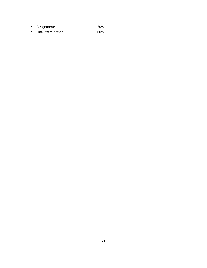- Assignments 20%
- Final examination 60%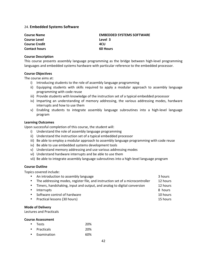# 24. **Embedded Systems Software**

| <b>Course Name</b>   | <b>EMBEDDED SYSTEMS SOFTWARE</b> |
|----------------------|----------------------------------|
| <b>Course Level</b>  | Level 3                          |
| <b>Course Credit</b> | 4CU                              |
| <b>Contact hours</b> | <b>60 Hours</b>                  |

# **Course Description**

This course presents assembly language programming as the bridge between high-level programming languages and embedded systems hardware with particular reference to the embedded processor.

# **Course Objectives**

The course aims at:

- i) Introducing students to the role of assembly language programming
- ii) Equipping students with skills required to apply a modular approach to assembly language programming with code reuse
- iii) Provide students with knowledge of the instruction set of a typical embedded processor
- iv) Imparting an understanding of memory addressing, the various addressing modes, hardware interrupts and how to use them
- v) Enabling students to integrate assembly language subroutines into a high-level language program

# **Learning Outcomes**

Upon successful completion of this course, the student will:

- i) Understand the role of assembly language programming
- ii) Understand the instruction set of a typical embedded processor
- iii) Be able to employ a modular approach to assembly language programming with code reuse
- iv) Be able to use embedded systems development tools
- v) Understand memory addressing and use various addressing modes
- vi) Understand hardware interrupts and be able to use them
- vii) Be able to integrate assembly language subroutines into a high-level language program

# **Course Outline**

Topics covered include:

|           | • An introduction to assembly language                                          | 3 hours  |
|-----------|---------------------------------------------------------------------------------|----------|
|           | • The addressing modes, register file, and instruction set of a microcontroller | 12 hours |
| $\bullet$ | Timers, handshaking, input and output, and analog to digital conversion         | 12 hours |
| $\bullet$ | Interrupts                                                                      | 8 hours  |
|           | • Software control of hardware                                                  | 10 hours |
|           | • Practical lessons (30 hours)                                                  | 15 hours |

#### **Mode of Delivery**

Lectures and Practicals

| • Tests      | 20% |
|--------------|-----|
| • Practicals | 20% |
| Examination  | 60% |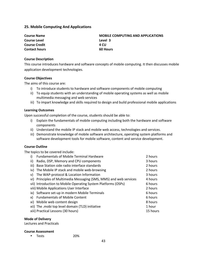# **25. Mobile Computing And Applications**

**Course Name MOBILE COMPUTING AND APPLICATIONS Course Level Course Level 3 Course Credit 4 CU Contact hours 60 Hours** 

# **Course Description**

This course introduces hardware and software concepts of mobile computing. It then discusses mobile application development technologies.

#### **Course Objectives**

The aims of this course are:

- i) To introduce students to hardware and software components of mobile computing
- ii) To equip students with an understanding of mobile operating systems as well as mobile multimedia messaging and web services
- iii) To impart knowledge and skills required to design and build professional mobile applications

# **Learning Outcomes**

Upon successful completion of the course, students should be able to:

- i) Explain the fundamentals of mobile computing including both the hardware and software components
- ii) Understand the mobile IP stack and mobile web access, technologies and services.
- iii) Demonstrate knowledge of mobile software architecture, operating system platforms and software development tools for mobile software, content and service development.

## **Course Outline**

The topics to be covered include:

| i)   | <b>Fundamentals of Mobile Terminal Hardware</b>                    | 2 hours  |
|------|--------------------------------------------------------------------|----------|
| ii)  | Radio, DSP, Memory and CPU components                              | 3 hours  |
| iii) | Base Station side radio interface standards                        | 2 hours  |
| iv)  | The Mobile IP stack and mobile web-browsing                        | 2 hours  |
| V)   | The WAP-protocol & Location Information                            | 3 hours  |
|      | vi) Principles of Multimedia Messaging (SMS, MMS) and web services | 4 hours  |
|      | vii) Introduction to Mobile Operating System Platforms (OSPs)      | 6 hours  |
|      | viii) Mobile Applications User Interface                           | 2 hours  |
|      | ix) Software set-up in modern Mobile Terminals                     | 6 hours  |
| x)   | <b>Fundamentals of Mobile Content</b>                              | 6 hours  |
|      | xi) Mobile web content design                                      | 8 hours  |
|      | xii) The .mobi top level domain (TLD) initiative                   | 1 hour   |
|      | xiii) Practical Lessons (30 hours)                                 | 15 hours |

#### **Mode of Delivery**

Lectures and Practicals

#### **Course Assessment**

• Tests" 20%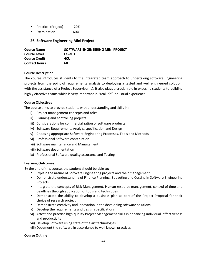- Practical (Project) 20%
- Examination 60%

# **26. Software Engineering Mini Project**

| <b>Course Name</b>   | SOFTWARE ENGINEERING MINI PROJECT |
|----------------------|-----------------------------------|
| <b>Course Level</b>  | Level 3                           |
| <b>Course Credit</b> | 4CU                               |
| <b>Contact hours</b> | 60                                |

# **Course Description**

The course introduces students to the integrated team approach to undertaking software Engineering projects from the point of requirements analysis to deploying a tested and well engineered solution, with the assistance of a Project Supervisor (s). It also plays a crucial role in exposing students to building highly effective teams which is very important in "real life" industrial experience.

# **Course Objectives**

The course aims to provide students with understanding and skills in:

- i) Project management concepts and roles
- ii) Planning and controlling projects
- iii) Considerations for commercialization of software products
- iv) Software Requirements Analyis, specification and Design
- v) Choosing appropriate Software Engineering Processes, Tools and Methods
- vi) Professional Software construction
- vii) Software maintenance and Management
- viii) Software documentation
- ix) Professional Software quality assurance and Testing

## **Learning Outcomes**

By the end of this course, the student should be able to:

- Explain the nature of Software Engineering projects and their management
- Demonstrate understanding of Finance Planning, Budgeting and Costing in Software Engineering Projects
- Integrate the concepts of Risk Management, Human resource management, control of time and deadlines through application of tools and techniques
- Demonstrate the ability to develop a business plan as part of the Project Proposal for their choice of research project.
- Demonstrate creativity and innovation in the developing software solutions
- v) Develop the requirements and design specifications
- vi) Attest and practice high-quality Project Management skills in enhancing individual effectiveness and productivity
- vii) Develop Software using state of the art technologies
- viii) Document the software in accordance to well known practices

## **Course Outline**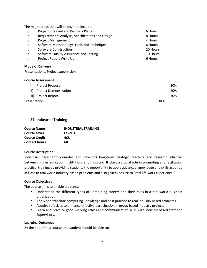The major areas that will be covered include:

| $\circ$ | <b>Project Proposal and Business Plans</b>       | 6 Hours. |
|---------|--------------------------------------------------|----------|
| $\circ$ | Requirements Analysis, Specifications and Design | 8 Hours. |
| $\circ$ | <b>Project Management</b>                        | 4 Hours  |
| $\circ$ | Software Methodology, Tools and Techniques       | 6 Hours  |
| $\circ$ | Software Construction                            | 20 Hours |
| $\circ$ | Software Quality Assurance and Testing           | 10 Hours |
| $\circ$ | Project Report Write Up                          | 6 Hours  |

# **Mode of Delivery**

Presentations, Project supervision

# **Course Assessment**

|              | i) Project Proposal       |     | 20% |
|--------------|---------------------------|-----|-----|
|              | ii) Project Demonstration |     | 20% |
|              | iii) Project Report       |     | 30% |
| Presentation |                           | 30% |     |

# **27.** Industrial Training

| <b>Course Name</b>   | <b>INDUSTRIAL TRAINING</b> |
|----------------------|----------------------------|
| <b>Course Level</b>  | Level 3                    |
| <b>Course Credit</b> | 4CU                        |
| <b>Contact hours</b> | 60                         |

## **Course Description**

Industrial Placement promotes and develops long-term strategic teaching and research alliances between higher education institutions and industry. It plays a crucial role in promoting and facilitating practical training by providing students the opportunity to apply advanced knowledge and skills acquired in class to real world industry based problems and also gain exposure to "real life work experience."

## **Course Objectives**

The course aims to enable students:

- Understand the different types of Computing careers and their roles in a real world business organization."
- Apply and translate computing knowledge and best practice to real industry based problems
- Acquire soft skills to enhance effective participation in group based industry projects
- Learn and practice good working ethics and communication skills with industry based staff and Supervisors.

# **Learning Outcomes**

By the end of this course, the student should be able to: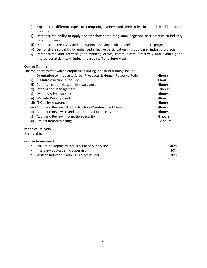- i) Explain the different types of Computing careers and their roles in a real world business organization.
- ii) Demonstrate ability to apply and translate computing knowledge and best practice to industry based problems
- iii) Demonstrate creativity and innovation in solving problems related to real-life projects
- iv) Demonstrate soft skills for enhanced effective participation in group based industry projects
- v) Demonstrate and practice good working ethics, communicate effectively and exhibit good interpersonal skills with industry based staff and Supervisors.

# **Course Outline**

The major areas that will be emphasized during industrial training include

| i)  | Orientation to Industry, Career Prospects & Human Resource Policy | 4hours   |
|-----|-------------------------------------------------------------------|----------|
| ii) | ICT Infrastructure in Indusry                                     | 6hours   |
|     | iii) Communication Network Infrastructure                         | 4hours   |
|     | iv) Information Management                                        | 10hours  |
|     | v) Systems Administration                                         | 4hours   |
|     | vi) Website Development                                           | 4hours   |
|     | vii) IT Quality Assurance                                         | 4hours   |
|     | viii) Audit and Review ICT Infrastructure Maintenance Manuals     | 4hours   |
|     | ix) Audit and Review IT and Communication Policies                | 4hours   |
|     | x) Audit and Review Information Security                          | 4 hours  |
|     | xi) Project Report Writting                                       | 12 hours |

# **Mode of Delivery**

Mentorship"

| • Evaluation Report by Industry Based Supervisor | 40% |
|--------------------------------------------------|-----|
| • Interview by Academic Supervisor               | 30% |
| Written Industrial Training Project Report       | 30% |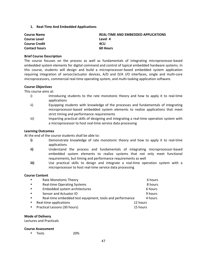**1.** Real-Time And Embedded Applications

| <b>REAL-TIME AND EMBEDDED APPLICATIONS</b> |
|--------------------------------------------|
| Level 4                                    |
| 4CU                                        |
| <b>60 Hours</b>                            |
|                                            |

## **Brief Course Description**

The course focuses on the process as well as fundamentals of integrating microprocessor-based embedded system elements for digital command and control of typical embedded hardware systems. In this course, students will design and build a microprocessor-based embedded system application requiring integration of sensor/actuator devices, A/D and D/A I/O interfaces, single and multi-core microprocessors, commercial real-time operating system, and multi-tasking application software.

## **Course Objectives**

This course aims at:

- i) Introducing students to the rate monotonic theory and how to apply it to real-time applications
- ii) Equipping students with knowledge of the processes and fundamentals of integrating microprocessor-based embedded system elements to realize applications that meet strict timing and performance requirements
- iii) Imparting practical skills of designing and integrating a real-time operation system with a microprocessor to host real-time service data processing

#### **Learning Outcomes**

At the end of the course students shall be able to:

- **i)** Demonstrate knowledge of rate monotonic theory and how to apply it to real-time applications
- ii) Understand the process and fundamentals of integrating microprocessor-based embedded system elements to realize systems that not only meet functional requirements, but timing and performance requirements as well
- **iii)** Use practical skills to design and integrate a real-time operation system with a microprocessor to host real-time service data processing

## **Course Content**

| $\bullet$ | Rate Monotonic Theory                                    |          | 6 hours |
|-----------|----------------------------------------------------------|----------|---------|
| $\bullet$ | <b>Real-time Operating Systems</b>                       |          | 8 hours |
| $\bullet$ | Embedded system architectures                            |          | 6 hours |
| $\bullet$ | Sensor and Actuator IO                                   |          | 9 hours |
| $\bullet$ | Real-time embedded test equipment, tools and performance |          | 4 hours |
| $\bullet$ | Real-time applications                                   | 12 hours |         |
| $\bullet$ | Practical Lessons (30 hours)                             | 15 hours |         |

#### **Mode of Delivery**

Lectures and Practicals

## **Course Assessment**

• Tests 20%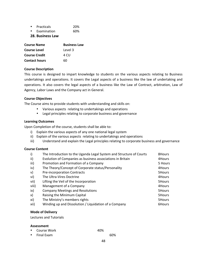| $\bullet$ | <b>Practicals</b> | 20% |
|-----------|-------------------|-----|
|           | Examination       | 60% |

# **28. Business Law**

| <b>Course Name</b>   | <b>Business Law</b> |
|----------------------|---------------------|
| <b>Course Level</b>  | Level 3             |
| <b>Course Credit</b> | 4 CU                |
| <b>Contact hours</b> | 6በ                  |

# **Course Description**

This course is designed to impart knowledge to students on the various aspects relating to Business undertakings and operations. It covers the Legal aspects of a business like the law of undertaking and operations. It also covers the legal aspects of a business like the Law of Contract, arbitration, Law of Agency, Labor Laws and the Company act in General.

# **Course Objectives**

The Course aims to provide students with understanding and skills on:

- Various aspects relating to undertakings and operations
- Legal principles relating to corporate business and governance

# **Learning Outcomes**

Upon Completion of the course, students shall be able to:

- i) Explain the various aspects of any one national legal system
- ii) Explain of the various aspects relating to undertakings and operations
- iii) Understand and explain the Legal principles relating to corporate business and governance

## **Course Content**

| i)    | The Introduction to the Uganda Legal System and Structure of Courts | 8Hours  |
|-------|---------------------------------------------------------------------|---------|
| ii)   | Evolution of Companies as business associations in Britain          | 4Hours  |
| iii)  | Promotion and Formation of a Company                                | 5 Hours |
| iv)   | The Theory/Concept of Corporate status/Personality                  | 4Hours  |
| V)    | Pre-incorporation Contracts                                         | 5Hours  |
| vi)   | The Ultra-Vires Doctrine                                            | 4Hours  |
| vii)  | Lifting the Veil of the Incorporation                               | 5Hours  |
| viii) | Management of a Company                                             | 4Hours  |
| ix)   | <b>Company Meetings and Resolutions</b>                             | 5Hours  |
| x)    | Raising the Minimum Capital                                         | 5Hours  |
| xi)   | The Ministry's members rights                                       | 5Hours  |
| xii)  | Winding up and Dissolution / Liquidation of a Company               | 6Hours  |

## **Mode of Delivery**

Lectures and Tutorials

## **Assessment**

|  | • Course Work | 40% |
|--|---------------|-----|
|--|---------------|-----|

• Final Exam 60%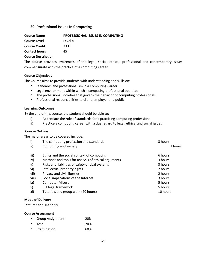# **29. Professional Issues In Computing**

| <b>Course Name</b>   | <b>PROFESSIONAL ISSUES IN COMPUTING</b> |
|----------------------|-----------------------------------------|
| <b>Course Level</b>  | Level 4                                 |
| <b>Course Credit</b> | 3 CU                                    |
| <b>Contact hours</b> | 45                                      |
|                      |                                         |

## **Course Description**

The course provides awareness of the legal, social, ethical, professional and contemporary issues commensurate with the practice of a computing career.

#### **Course Objectives**

The Course aims to provide students with understanding and skills on:

- Standards and professionalism in a Computing Career
- Legal environment within which a computing professional operates
- The professional societies that govern the behavior of computing professionals.
- Professional responsibilities to client, employer and public

#### **Learning Outcomes**

By the end of this course, the student should be able to:

- i) Appreciate the role of standards for a practicing computing professional
- ii) Practice a computing career with a due regard to legal, ethical and social issues

# **Course Outline**

The major areas to be covered include:

| The computing profession and standards              | 3 hours  |
|-----------------------------------------------------|----------|
| Computing and society                               | 3 hours  |
| Ethics and the social context of computing          | 6 hours  |
| Methods and tools for analysis of ethical arguments | 3 hours  |
| Risks and liabilities of safety-critical systems    | 3 hours  |
| Intellectual property rights                        | 2 hours  |
| Privacy and civil liberties                         | 2 hours  |
| Social implications of the Internet                 | 3 hours  |
| <b>Computer Misuse</b>                              | 5 hours  |
| ICT legal framework                                 | 5 hours  |
| Tutorials and group work (20 hours)                 | 10 hours |
|                                                     |          |

# **Mode of Delivery**

Lectures and Tutorials

| Group Assignment | 20% |
|------------------|-----|
| • Test           | 20% |
| Examination      | 60% |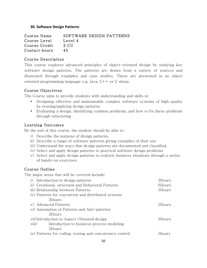# **30. Software Design Patterns**

Course Name SOFTWARE DESIGN PATTERNS Course Level Level 4 Course Credit 3 CU Contact hours 45

# Course Description

This course explores advanced principles of object-oriented design by studying key software design patterns. The patterns are drawn from a variety of sources and illustrated through examples and case studies. These are presented in an object oriented programming language e.g. Java, C++ or C sharp.

# Course Objectives

The Course aims to provide students with understanding and skills in:

- Designing effective and maintainable complex software systems of high quality by reusing/applying design patterns
- Evaluating a design, identifying common problems, and how to fix these problems through refactoring

# Learning Outcomes

By the end of this course, the student should be able to:

- i) Describe the purpose of design patterns.
- ii) Describe a range of software patterns giving examples of their use
- iii) Understand the ways that design patterns are documented and classified.
- iv) Select and apply design patterns to practical software design problems
- v) Select and apply design patterns to realistic business situations through a series of hands-on exercises

# Course Outline

The major areas that will be covered include:

|       | i) Introduction to design patterns                        | 3Hours |
|-------|-----------------------------------------------------------|--------|
|       | ii) Creational, structural and Behavioral Patterns        | 6Hours |
|       | iii) Relationship between Patterns                        | 3Hours |
|       | iv) Patterns for concurrent and distributed systems       |        |
|       | 3Hours                                                    |        |
|       | v) Advanced Patterns                                      | 3Hours |
|       | vi) Automation of Patterns and Anti-patterns              |        |
|       | 3Hours                                                    |        |
|       | vii) Introduction to Aspect-Oriented design               | 3Hours |
| viii) | Introduction to business process modeling                 |        |
|       | 3Hours                                                    |        |
|       | ix) Patterns for coding, testing and concurrency control. | 3hours |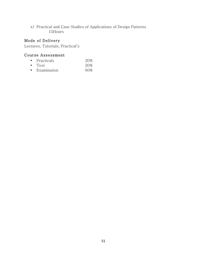x) Practical and Case Studies of Applications of Design Patterns 15Hours

# Mode of Delivery

Lectures, Tutorials, Practical's

- Practicals 20%
- Test 20%
- Examination 60%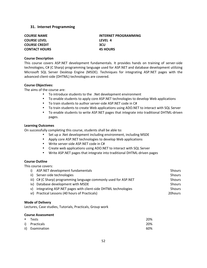# **31. Internet Programming**

| <b>COURSE NAME</b>   | <b>INTERNET PROGRAMMING</b> |
|----------------------|-----------------------------|
| <b>COURSE LEVEL</b>  | LFVFL 4                     |
| <b>COURSE CREDIT</b> | <b>3CU</b>                  |
| <b>CONTACT HOURS</b> | <b>45 HOURS</b>             |
|                      |                             |

# **Course Description**

This course covers ASP.NET development fundamentals. It provides hands on training of server-side technologies, C# (C Sharp) programming language used for ASP.NET and database development utilizing Microsoft SQL Server Desktop Engine (MSDE). Techniques for integrating ASP.NET pages with the advanced client-side (DHTML) technologies are covered.

#### **Course Objectives:**

The aims of the course are:

- To introduce students to the .Net development environment
- To enable students to apply core ASP.NET technologies to develop Web applications
- To train students to author server-side ASP.NET code in C#
- To train students to create Web applications using ADO.NET to interact with SQL Server
- To enable students to write ASP.NET pages that integrate into traditional DHTML-driven pages.

#### **Learning Outcomes**

On successfully completing this course, students shall be able to:

- Set up a .Net development including environment, including MSDE
- Apply core ASP.NET technologies to develop Web applications
- Write server-side ASP.NET code in C#
- Create web applications using ADO.NET to interact with SQL Server
- Write ASP.NET pages that integrate into traditional DHTML-driven pages

## **Course Outline**

This course covers:

|    | i) ASP.NET development fundamentals                              | 5hours  |
|----|------------------------------------------------------------------|---------|
|    | ii) Server-side technologies                                     | 5hours  |
|    | iii) C# (C Sharp) programming language commonly used for ASP.NET | 5hours  |
|    | iv) Database development with MSDE                               | 5hours  |
| v) | integrating ASP.NET pages with client-side DHTML technologies    | 5hours  |
|    | vi) Practical Lessons (40 hours of Practicals)                   | 20hours |

#### **Mode of Delivery**

Lectures, Case studies, Tutorials, Practicals, Group work

| • Tests         | 20% |
|-----------------|-----|
| i) Practicals   | 20% |
| ii) Examination | 60% |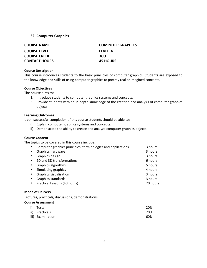# **32. Computer Graphics**

| <b>COURSE NAME</b>   | <b>COMPUTER GRAPHICS</b> |
|----------------------|--------------------------|
| <b>COURSE LEVEL</b>  | LFVFL 4                  |
| <b>COURSE CREDIT</b> | 3CU                      |
| <b>CONTACT HOURS</b> | <b>45 HOURS</b>          |

# **Course Description**

This course introduces students to the basic principles of computer graphics. Students are exposed to the knowledge and skills of using computer graphics to portray real or imagined concepts.

# **Course Objectives**

The course aims to:

- 1. Introduce students to computer graphics systems and concepts.
- 2. Provide students with an in-depth knowledge of the creation and analysis of computer graphics objects.

# **Learning Outcomes**

Upon successful completion of this course students should be able to:

- i) Explain computer graphics systems and concepts.
- ii) Demonstrate the ability to create and analyze computer graphics objects.

# **Course Content**

The topics to be covered in this course include:

| Computer graphics principles, terminologies and applications | 3 hours  |
|--------------------------------------------------------------|----------|
| Graphics hardware                                            | 3 hours  |
| Graphics design                                              | 3 hours  |
| 2D and 3D transformations                                    | 6 hours  |
| Graphics algorithms                                          | 5 hours  |
| Simulating graphics                                          | 4 hours  |
| <b>Graphics visualisation</b>                                | 3 hours  |
| Graphics standards                                           | 3 hours  |
| Practical Lessons (40 hours)                                 | 20 hours |
|                                                              |          |

# **Mode of Delivery**

Lectures, practicals, discussions, demonstrations

| i) Tests         | 20% |
|------------------|-----|
| ii) Practicals   | 20% |
| iii) Examination | 60% |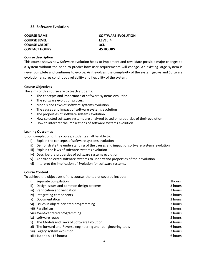# **33. Software Evolution**

| <b>COURSE NAME</b>   | SOFTWARE EVOLUTION |
|----------------------|--------------------|
| <b>COURSE LEVEL</b>  | LEVEL 4            |
| <b>COURSE CREDIT</b> | <b>3CU</b>         |
| <b>CONTACT HOURS</b> | <b>45 HOURS</b>    |

#### **Course description**

This course shows how Software evolution helps to implement and revalidate possible major changes to a system without the need to predict how user requirements will change. An existing large system is" never complete and continues to evolve. As it evolves, the complexity of the system grows and Software evolution ensures continuous reliability and flexibility of the system.

#### **Course Objectives**

The aims of this course are to teach students:

- The concepts and importance of software systems evolution
- The software evolution process
- Models and Laws of software systems evolution
- The causes and impact of software systems evolution
- The properties of software systems evolution
- How selected software systems are analyzed based on properties of their evolution
- How to interpret the implications of software systems evolution.

#### **Leaning Outcomes**

Upon completion of the course, students shall be able to:

- i) Explain the concepts of software systems evolution
- ii) Demonstrate the understanding of the causes and impact of software systems evolution
- iii) Explain the laws of software systems evolution
- iv) Describe the properties of software systems evolution
- v) Analyze selected software systems to understand properties of their evolution
- vi) Interpret the implication of Evolution for software systems.

## **Course Content**

To achieve the objectives of this course, the topics covered include:

| i)  | Separate compilation                                            | 3hours  |
|-----|-----------------------------------------------------------------|---------|
| ii) | Design issues and common design patterns                        | 3 hours |
|     | iii) Verification and validation                                | 3 hours |
| iv) | Integrating components                                          | 3 hours |
| V)  | Documentation                                                   | 2 hours |
|     | vi) Issues in object-oriented programming                       | 3 hours |
|     | vii) Parallelism                                                | 3 hours |
|     | viii) event-centered programming                                | 3 hours |
|     | ix) software reuse                                              | 3 hours |
| X)  | The Models and Laws of Software Evolution                       | 4 hours |
|     | xi) The forward and Reverse engineering and reengineering tools | 6 hours |
|     | xii) Legacy system evolution                                    | 3 hours |
|     | xiii) Tutorials (12 hours)                                      | 6 hours |
|     |                                                                 |         |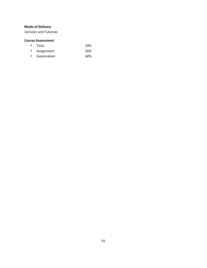Lectures and Tutorials

- Tests 20%
- Assignment 20%
- Examination 60%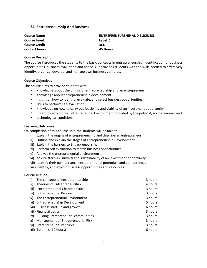# **34. Entrepreneurship And Business**

| <b>Course Name</b>   | <b>ENTREPRENEURSHIP AND BUSINESS</b> |
|----------------------|--------------------------------------|
| <b>Course Level</b>  | Level 1                              |
| <b>Course Credit</b> | <b>3CU</b>                           |
| <b>Contact hours</b> | 45 Hours                             |

#### **Course Description**

The course introduces the students to the basic concepts in entrepreneurship, identification of business opportunities, business evaluation and analysis. It provides students with the skills needed to effectively identify, organize, develop, and manage own business ventures.

## **Course Objectives**

The course aims to provide students with:

- Knowledge about the origins of entrepreneurship and an entrepreneur
- Knowledge about entrepreneurship development
- Insight on how to Identify, evaluate, and select business opportunities
- Skills to perform self-evaluation
- Knowledge on how to carry out feasibility and viability of an investment opportunity
- Insight to exploit the Entrepreneurial Environment provided by the political, socioeconomic and
- technological conditions

## **Learning Outcomes**

On completion of this course unit, the students will be able to:

- i) Explain the origins of entrepreneurship and describe an entrepreneur
- ii) Outline and explain the stages of Entrepreneurship Development
- iii) Explain the barriers to Entrepreneurship
- iv) Perform self evaluation to match business opportunities
- v) Analyze the entrepreneurial environment
- vi) ensure start-up, survival and sustainability of an investment opportunity
- vii) Identify their own personal entrepreneurial potential, and competences
- viii) Identify, and exploit business opportunities and resources

## **Course Outline**

| i)   | The concepts of entrepreneurship         | 3 hours |
|------|------------------------------------------|---------|
| ii)  | Theories of Entrepreneurship             | 4 hours |
| iii) | <b>Entrepreneurial Characteristics</b>   | 3 hours |
|      | iv) Entrepreneurial Process              | 3 hours |
| V)   | The Entrepreneurial Environment          | 3 hours |
|      | vi) Entrepreneurship Development         | 5 hours |
|      | vii) Business start-up and growth        | 6 hours |
|      | viii) Financial basics                   | 3 hours |
|      | ix) Building Entrepreneurial communities | 3 hours |
| X)   | Management of Entrepreneurial Risk       | 3 hours |
|      | xi) Entrepreneurial ventures             | 3 hours |
|      | xii) Tutorials (12 hours)                | 6 hours |
|      |                                          |         |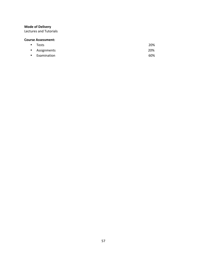Lectures and Tutorials

- Tests 20% • Assignments """ "" "20%
- Examination 60%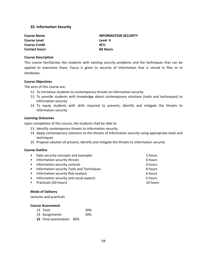# **35. Information Security**

**Course Name INFORMATION SECURITY Course Level Course Level A Course Credit 4CU Contact hours 60 Hours** 

#### **Course Description**

This course familiarizes the students with existing security problems and the techniques that can be applied to overcome them. Focus is given to security of information that is stored in files or in databases.

#### **Course Objectives**

The aims of this course are:

- 12. To introduce students to contemporary threats to information security
- 13. To provide students with knowledge about contemporary solutions (tools and techniques) to information security
- 14. To equip students with skills required to prevent, identify and mitigate the threats to information security

#### **Learning Outcomes**

Upon completion of this course, the students shall be able to:

- 13 Identify contemporary threats to information security
- 14 Apply contemporary solutions to the threats of information security using appropriate tools and techniques
- 15 Propose solution of prevent, identify and mitigate the threats to information security

## **Course Outline**

| • Data security concepts and examples       | 3 hours  |
|---------------------------------------------|----------|
| • Information security threats              | 6 hours  |
| • Information security controls             | 6 hours  |
| • Information security Tools and Techniques | 8 hours  |
| • Information security Risk analysis        | 6 hours  |
| • Information security and social aspects   | 6 hours  |
| • Practicals (20 hours)                     | 10 hours |

#### **Mode of Delivery**

Lectures and practicals

| 13 Tests                        | 20% |
|---------------------------------|-----|
| 14 Assignments                  | 20% |
| <b>15</b> Final examination 60% |     |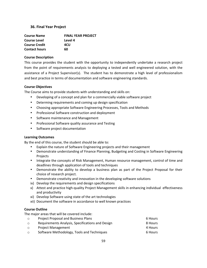# **36. Final Year Project**

| <b>Course Name</b>   | <b>FINAL YEAR PROJECT</b> |  |
|----------------------|---------------------------|--|
| <b>Course Level</b>  | Level 4                   |  |
| <b>Course Credit</b> | 4CU                       |  |
| <b>Contact hours</b> | 60                        |  |

# **Course Description**

This course provides the student with the opportunity to independently undertake a research project from the point of requirements analysis to deploying a tested and well engineered solution, with the assistance of a Project Supervisor(s). The student has to demonstrate a high level of professionalism and best practice in terms of documentation and software engineering standards.

# **Course Objectives**

The Course aims to provide students with understanding and skills on:

- Developing of a concept and plan for a commercially viable software project
- Determing requirements and coming up design specification
- Choosing appropriate Software Engineering Processes, Tools and Methods
- Professional Software construction and deployment
- Software maintenance and Management
- Professional Software quality assurance and Testing
- Software project documentation

# **Learning Outcomes**

By the end of this course, the student should be able to:

- Explain the nature of Software Engineering projects and their management
- Demonstrate understanding of Finance Planning, Budgeting and Costing in Software Engineering Projects
- Integrate the concepts of Risk Management, Human resource management, control of time and deadlines through application of tools and techniques
- Demonstrate the ability to develop a business plan as part of the Project Proposal for their choice of research project.
- Demonstrate creativity and innovation in the developing software solutions
- ix) Develop the requirements and design specifications
- x) Attest and practice high-quality Project Management skills in enhancing individual effectiveness and productivity
- xi) Develop Software using state of the art technologies
- xii) Document the software in accordance to well known practices

# **Course Outline**

The major areas that will be covered include:

| $\circ$ | <b>Project Proposal and Business Plans</b>       | 6 Hours |
|---------|--------------------------------------------------|---------|
| $\circ$ | Requirements Analysis, Specifications and Design | 8 Hours |
| $\circ$ | <b>Project Management</b>                        | 4 Hours |
| $\circ$ | Software Methodology, Tools and Techniques       | 6 Hours |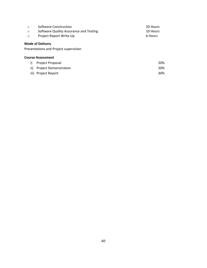| $\circ$ | Software Construction                                            | 20 Hours |
|---------|------------------------------------------------------------------|----------|
| $\circ$ | Software Quality Assurance and Testing                           | 10 Hours |
| $\circ$ | Project Report Write Up                                          | 6 Hours  |
|         | <b>Mode of Delivery</b><br>Presentations and Project supervision |          |
|         | <b>Course Assessment</b>                                         |          |
| i)      | Project Proposal                                                 | 20%      |
| ii)     | <b>Project Demonstration</b>                                     | 20%      |
| iii)    | <b>Project Report</b>                                            | 30%      |